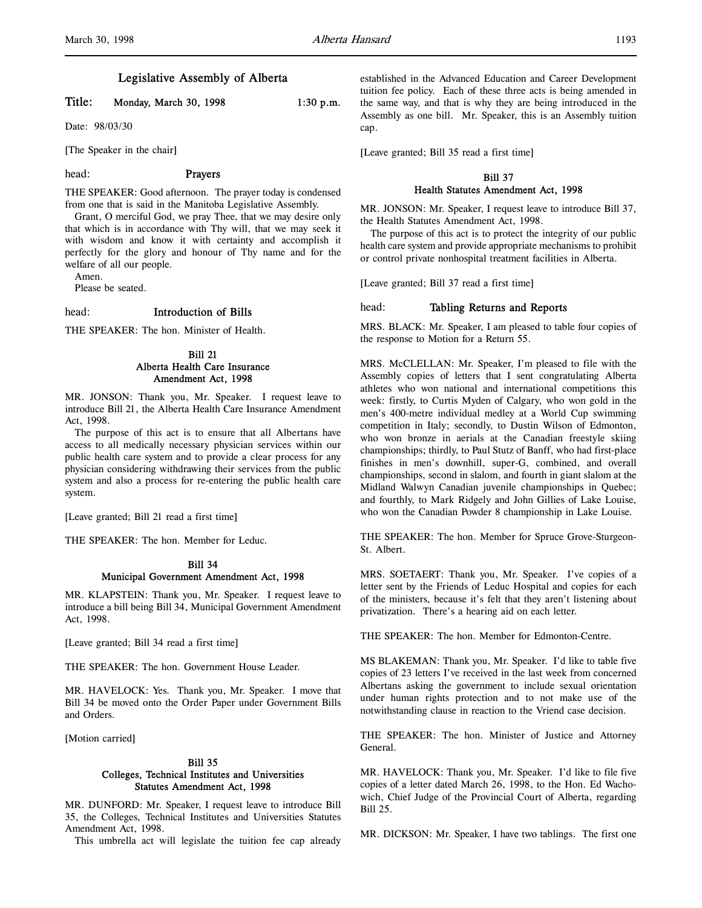## Legislative Assembly of Alberta

# Title: Monday, March 30, 1998 1:30 p.m.

Date: 98/03/30

[The Speaker in the chair]

# head: Prayers

THE SPEAKER: Good afternoon. The prayer today is condensed from one that is said in the Manitoba Legislative Assembly.

Grant, O merciful God, we pray Thee, that we may desire only that which is in accordance with Thy will, that we may seek it with wisdom and know it with certainty and accomplish it perfectly for the glory and honour of Thy name and for the welfare of all our people.

Amen.

Please be seated.

#### head: Introduction of Bills

THE SPEAKER: The hon. Minister of Health.

#### Bill 21 Alberta Health Care Insurance Amendment Act, 1998

MR. JONSON: Thank you, Mr. Speaker. I request leave to introduce Bill 21, the Alberta Health Care Insurance Amendment Act, 1998.

The purpose of this act is to ensure that all Albertans have access to all medically necessary physician services within our public health care system and to provide a clear process for any physician considering withdrawing their services from the public system and also a process for re-entering the public health care system.

[Leave granted; Bill 21 read a first time]

THE SPEAKER: The hon. Member for Leduc.

#### Bill 34 Municipal Government Amendment Act, 1998

MR. KLAPSTEIN: Thank you, Mr. Speaker. I request leave to introduce a bill being Bill 34, Municipal Government Amendment Act, 1998.

[Leave granted; Bill 34 read a first time]

THE SPEAKER: The hon. Government House Leader.

MR. HAVELOCK: Yes. Thank you, Mr. Speaker. I move that Bill 34 be moved onto the Order Paper under Government Bills and Orders.

[Motion carried]

#### Bill 35 Colleges, Technical Institutes and Universities Statutes Amendment Act, 1998

MR. DUNFORD: Mr. Speaker, I request leave to introduce Bill 35, the Colleges, Technical Institutes and Universities Statutes Amendment Act, 1998.

This umbrella act will legislate the tuition fee cap already

established in the Advanced Education and Career Development tuition fee policy. Each of these three acts is being amended in the same way, and that is why they are being introduced in the Assembly as one bill. Mr. Speaker, this is an Assembly tuition cap.

[Leave granted; Bill 35 read a first time]

### Bill 37 Health Statutes Amendment Act, 1998

MR. JONSON: Mr. Speaker, I request leave to introduce Bill 37, the Health Statutes Amendment Act, 1998.

The purpose of this act is to protect the integrity of our public health care system and provide appropriate mechanisms to prohibit or control private nonhospital treatment facilities in Alberta.

[Leave granted; Bill 37 read a first time]

#### head: Tabling Returns and Reports

MRS. BLACK: Mr. Speaker, I am pleased to table four copies of the response to Motion for a Return 55.

MRS. McCLELLAN: Mr. Speaker, I'm pleased to file with the Assembly copies of letters that I sent congratulating Alberta athletes who won national and international competitions this week: firstly, to Curtis Myden of Calgary, who won gold in the men's 400-metre individual medley at a World Cup swimming competition in Italy; secondly, to Dustin Wilson of Edmonton, who won bronze in aerials at the Canadian freestyle skiing championships; thirdly, to Paul Stutz of Banff, who had first-place finishes in men's downhill, super-G, combined, and overall championships, second in slalom, and fourth in giant slalom at the Midland Walwyn Canadian juvenile championships in Quebec; and fourthly, to Mark Ridgely and John Gillies of Lake Louise, who won the Canadian Powder 8 championship in Lake Louise.

THE SPEAKER: The hon. Member for Spruce Grove-Sturgeon-St. Albert.

MRS. SOETAERT: Thank you, Mr. Speaker. I've copies of a letter sent by the Friends of Leduc Hospital and copies for each of the ministers, because it's felt that they aren't listening about privatization. There's a hearing aid on each letter.

THE SPEAKER: The hon. Member for Edmonton-Centre.

MS BLAKEMAN: Thank you, Mr. Speaker. I'd like to table five copies of 23 letters I've received in the last week from concerned Albertans asking the government to include sexual orientation under human rights protection and to not make use of the notwithstanding clause in reaction to the Vriend case decision.

THE SPEAKER: The hon. Minister of Justice and Attorney General.

MR. HAVELOCK: Thank you, Mr. Speaker. I'd like to file five copies of a letter dated March 26, 1998, to the Hon. Ed Wachowich, Chief Judge of the Provincial Court of Alberta, regarding Bill 25.

MR. DICKSON: Mr. Speaker, I have two tablings. The first one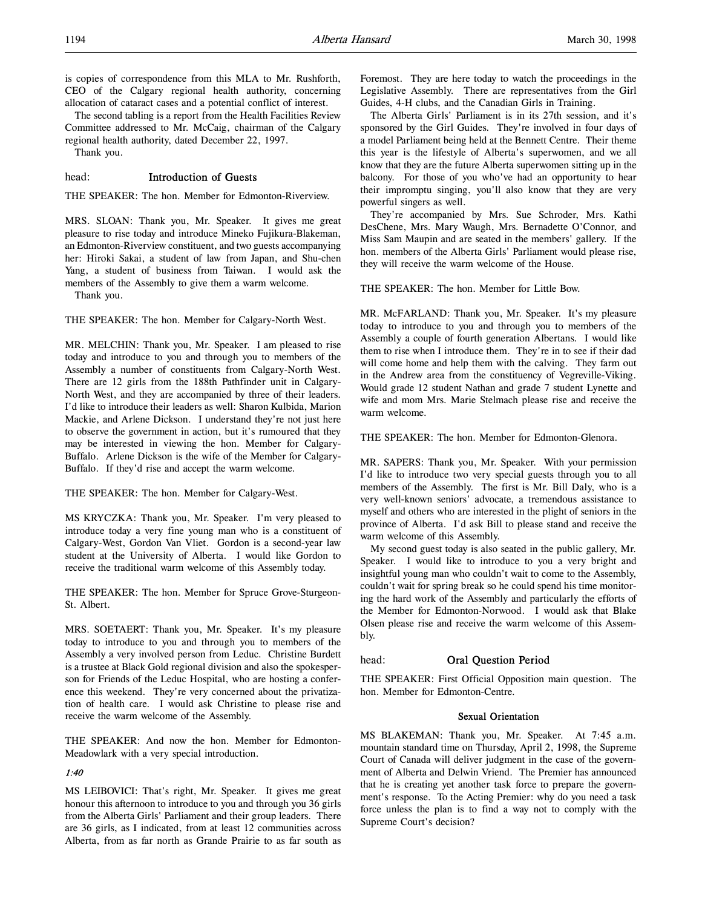The second tabling is a report from the Health Facilities Review Committee addressed to Mr. McCaig, chairman of the Calgary regional health authority, dated December 22, 1997.

Thank you.

### head: Introduction of Guests

THE SPEAKER: The hon. Member for Edmonton-Riverview.

MRS. SLOAN: Thank you, Mr. Speaker. It gives me great pleasure to rise today and introduce Mineko Fujikura-Blakeman, an Edmonton-Riverview constituent, and two guests accompanying her: Hiroki Sakai, a student of law from Japan, and Shu-chen Yang, a student of business from Taiwan. I would ask the members of the Assembly to give them a warm welcome.

Thank you.

THE SPEAKER: The hon. Member for Calgary-North West.

MR. MELCHIN: Thank you, Mr. Speaker. I am pleased to rise today and introduce to you and through you to members of the Assembly a number of constituents from Calgary-North West. There are 12 girls from the 188th Pathfinder unit in Calgary-North West, and they are accompanied by three of their leaders. I'd like to introduce their leaders as well: Sharon Kulbida, Marion Mackie, and Arlene Dickson. I understand they're not just here to observe the government in action, but it's rumoured that they may be interested in viewing the hon. Member for Calgary-Buffalo. Arlene Dickson is the wife of the Member for Calgary-Buffalo. If they'd rise and accept the warm welcome.

THE SPEAKER: The hon. Member for Calgary-West.

MS KRYCZKA: Thank you, Mr. Speaker. I'm very pleased to introduce today a very fine young man who is a constituent of Calgary-West, Gordon Van Vliet. Gordon is a second-year law student at the University of Alberta. I would like Gordon to receive the traditional warm welcome of this Assembly today.

THE SPEAKER: The hon. Member for Spruce Grove-Sturgeon-St. Albert.

MRS. SOETAERT: Thank you, Mr. Speaker. It's my pleasure today to introduce to you and through you to members of the Assembly a very involved person from Leduc. Christine Burdett is a trustee at Black Gold regional division and also the spokesperson for Friends of the Leduc Hospital, who are hosting a conference this weekend. They're very concerned about the privatization of health care. I would ask Christine to please rise and receive the warm welcome of the Assembly.

THE SPEAKER: And now the hon. Member for Edmonton-Meadowlark with a very special introduction.

#### 1:40

MS LEIBOVICI: That's right, Mr. Speaker. It gives me great honour this afternoon to introduce to you and through you 36 girls from the Alberta Girls' Parliament and their group leaders. There are 36 girls, as I indicated, from at least 12 communities across Alberta, from as far north as Grande Prairie to as far south as

Foremost. They are here today to watch the proceedings in the Legislative Assembly. There are representatives from the Girl Guides, 4-H clubs, and the Canadian Girls in Training.

The Alberta Girls' Parliament is in its 27th session, and it's sponsored by the Girl Guides. They're involved in four days of a model Parliament being held at the Bennett Centre. Their theme this year is the lifestyle of Alberta's superwomen, and we all know that they are the future Alberta superwomen sitting up in the balcony. For those of you who've had an opportunity to hear their impromptu singing, you'll also know that they are very powerful singers as well.

They're accompanied by Mrs. Sue Schroder, Mrs. Kathi DesChene, Mrs. Mary Waugh, Mrs. Bernadette O'Connor, and Miss Sam Maupin and are seated in the members' gallery. If the hon. members of the Alberta Girls' Parliament would please rise, they will receive the warm welcome of the House.

THE SPEAKER: The hon. Member for Little Bow.

MR. McFARLAND: Thank you, Mr. Speaker. It's my pleasure today to introduce to you and through you to members of the Assembly a couple of fourth generation Albertans. I would like them to rise when I introduce them. They're in to see if their dad will come home and help them with the calving. They farm out in the Andrew area from the constituency of Vegreville-Viking. Would grade 12 student Nathan and grade 7 student Lynette and wife and mom Mrs. Marie Stelmach please rise and receive the warm welcome.

THE SPEAKER: The hon. Member for Edmonton-Glenora.

MR. SAPERS: Thank you, Mr. Speaker. With your permission I'd like to introduce two very special guests through you to all members of the Assembly. The first is Mr. Bill Daly, who is a very well-known seniors' advocate, a tremendous assistance to myself and others who are interested in the plight of seniors in the province of Alberta. I'd ask Bill to please stand and receive the warm welcome of this Assembly.

My second guest today is also seated in the public gallery, Mr. Speaker. I would like to introduce to you a very bright and insightful young man who couldn't wait to come to the Assembly, couldn't wait for spring break so he could spend his time monitoring the hard work of the Assembly and particularly the efforts of the Member for Edmonton-Norwood. I would ask that Blake Olsen please rise and receive the warm welcome of this Assembly.

### head: Oral Question Period

THE SPEAKER: First Official Opposition main question. The hon. Member for Edmonton-Centre.

#### Sexual Orientation

MS BLAKEMAN: Thank you, Mr. Speaker. At 7:45 a.m. mountain standard time on Thursday, April 2, 1998, the Supreme Court of Canada will deliver judgment in the case of the government of Alberta and Delwin Vriend. The Premier has announced that he is creating yet another task force to prepare the government's response. To the Acting Premier: why do you need a task force unless the plan is to find a way not to comply with the Supreme Court's decision?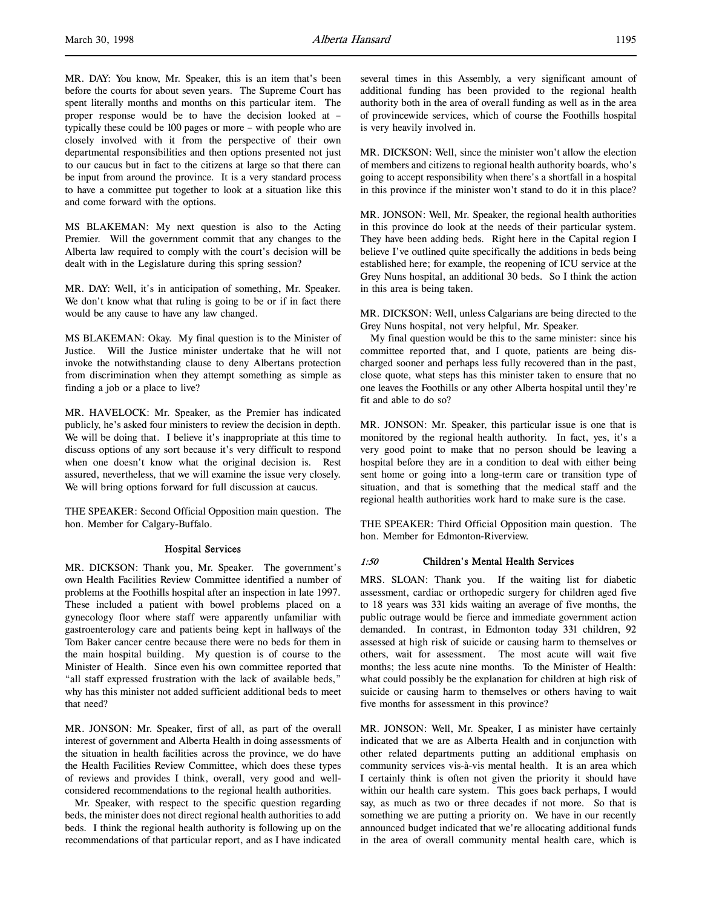MR. DAY: You know, Mr. Speaker, this is an item that's been before the courts for about seven years. The Supreme Court has spent literally months and months on this particular item. The proper response would be to have the decision looked at – typically these could be 100 pages or more – with people who are closely involved with it from the perspective of their own departmental responsibilities and then options presented not just to our caucus but in fact to the citizens at large so that there can be input from around the province. It is a very standard process to have a committee put together to look at a situation like this and come forward with the options.

MS BLAKEMAN: My next question is also to the Acting Premier. Will the government commit that any changes to the Alberta law required to comply with the court's decision will be dealt with in the Legislature during this spring session?

MR. DAY: Well, it's in anticipation of something, Mr. Speaker. We don't know what that ruling is going to be or if in fact there would be any cause to have any law changed.

MS BLAKEMAN: Okay. My final question is to the Minister of Justice. Will the Justice minister undertake that he will not invoke the notwithstanding clause to deny Albertans protection from discrimination when they attempt something as simple as finding a job or a place to live?

MR. HAVELOCK: Mr. Speaker, as the Premier has indicated publicly, he's asked four ministers to review the decision in depth. We will be doing that. I believe it's inappropriate at this time to discuss options of any sort because it's very difficult to respond when one doesn't know what the original decision is. Rest assured, nevertheless, that we will examine the issue very closely. We will bring options forward for full discussion at caucus.

THE SPEAKER: Second Official Opposition main question. The hon. Member for Calgary-Buffalo.

#### Hospital Services

MR. DICKSON: Thank you, Mr. Speaker. The government's own Health Facilities Review Committee identified a number of problems at the Foothills hospital after an inspection in late 1997. These included a patient with bowel problems placed on a gynecology floor where staff were apparently unfamiliar with gastroenterology care and patients being kept in hallways of the Tom Baker cancer centre because there were no beds for them in the main hospital building. My question is of course to the Minister of Health. Since even his own committee reported that "all staff expressed frustration with the lack of available beds," why has this minister not added sufficient additional beds to meet that need?

MR. JONSON: Mr. Speaker, first of all, as part of the overall interest of government and Alberta Health in doing assessments of the situation in health facilities across the province, we do have the Health Facilities Review Committee, which does these types of reviews and provides I think, overall, very good and wellconsidered recommendations to the regional health authorities.

Mr. Speaker, with respect to the specific question regarding beds, the minister does not direct regional health authorities to add beds. I think the regional health authority is following up on the recommendations of that particular report, and as I have indicated

several times in this Assembly, a very significant amount of additional funding has been provided to the regional health authority both in the area of overall funding as well as in the area of provincewide services, which of course the Foothills hospital is very heavily involved in.

MR. DICKSON: Well, since the minister won't allow the election of members and citizens to regional health authority boards, who's going to accept responsibility when there's a shortfall in a hospital in this province if the minister won't stand to do it in this place?

MR. JONSON: Well, Mr. Speaker, the regional health authorities in this province do look at the needs of their particular system. They have been adding beds. Right here in the Capital region I believe I've outlined quite specifically the additions in beds being established here; for example, the reopening of ICU service at the Grey Nuns hospital, an additional 30 beds. So I think the action in this area is being taken.

MR. DICKSON: Well, unless Calgarians are being directed to the Grey Nuns hospital, not very helpful, Mr. Speaker.

My final question would be this to the same minister: since his committee reported that, and I quote, patients are being discharged sooner and perhaps less fully recovered than in the past, close quote, what steps has this minister taken to ensure that no one leaves the Foothills or any other Alberta hospital until they're fit and able to do so?

MR. JONSON: Mr. Speaker, this particular issue is one that is monitored by the regional health authority. In fact, yes, it's a very good point to make that no person should be leaving a hospital before they are in a condition to deal with either being sent home or going into a long-term care or transition type of situation, and that is something that the medical staff and the regional health authorities work hard to make sure is the case.

THE SPEAKER: Third Official Opposition main question. The hon. Member for Edmonton-Riverview.

### 1:50 Children's Mental Health Services

MRS. SLOAN: Thank you. If the waiting list for diabetic assessment, cardiac or orthopedic surgery for children aged five to 18 years was 331 kids waiting an average of five months, the public outrage would be fierce and immediate government action demanded. In contrast, in Edmonton today 331 children, 92 assessed at high risk of suicide or causing harm to themselves or others, wait for assessment. The most acute will wait five months; the less acute nine months. To the Minister of Health: what could possibly be the explanation for children at high risk of suicide or causing harm to themselves or others having to wait five months for assessment in this province?

MR. JONSON: Well, Mr. Speaker, I as minister have certainly indicated that we are as Alberta Health and in conjunction with other related departments putting an additional emphasis on community services vis-à-vis mental health. It is an area which I certainly think is often not given the priority it should have within our health care system. This goes back perhaps, I would say, as much as two or three decades if not more. So that is something we are putting a priority on. We have in our recently announced budget indicated that we're allocating additional funds in the area of overall community mental health care, which is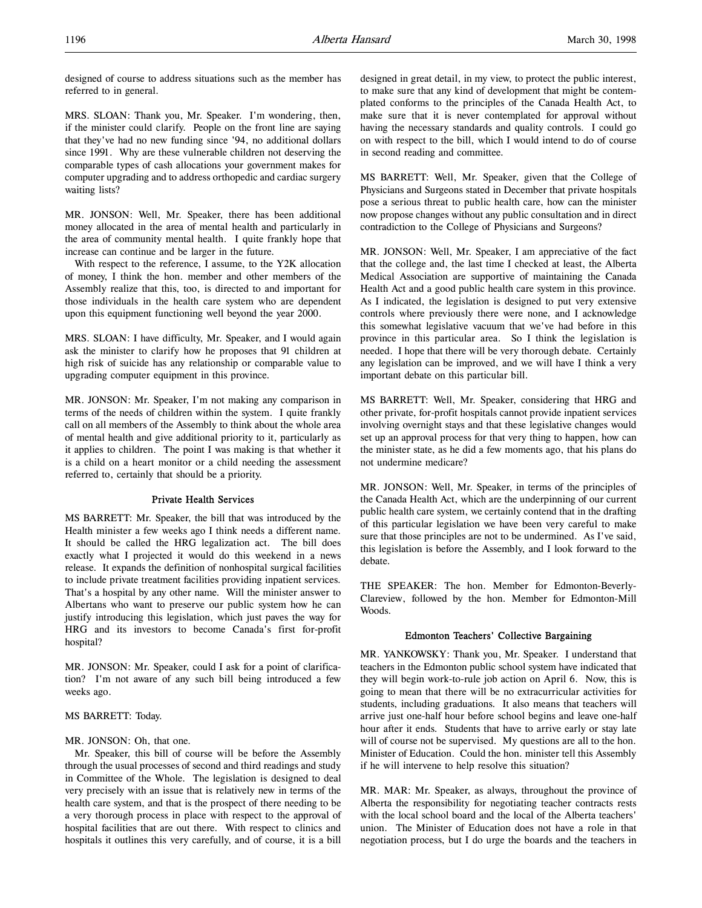designed of course to address situations such as the member has referred to in general.

MRS. SLOAN: Thank you, Mr. Speaker. I'm wondering, then, if the minister could clarify. People on the front line are saying that they've had no new funding since '94, no additional dollars since 1991. Why are these vulnerable children not deserving the comparable types of cash allocations your government makes for computer upgrading and to address orthopedic and cardiac surgery waiting lists?

MR. JONSON: Well, Mr. Speaker, there has been additional money allocated in the area of mental health and particularly in the area of community mental health. I quite frankly hope that increase can continue and be larger in the future.

With respect to the reference, I assume, to the Y2K allocation of money, I think the hon. member and other members of the Assembly realize that this, too, is directed to and important for those individuals in the health care system who are dependent upon this equipment functioning well beyond the year 2000.

MRS. SLOAN: I have difficulty, Mr. Speaker, and I would again ask the minister to clarify how he proposes that 91 children at high risk of suicide has any relationship or comparable value to upgrading computer equipment in this province.

MR. JONSON: Mr. Speaker, I'm not making any comparison in terms of the needs of children within the system. I quite frankly call on all members of the Assembly to think about the whole area of mental health and give additional priority to it, particularly as it applies to children. The point I was making is that whether it is a child on a heart monitor or a child needing the assessment referred to, certainly that should be a priority.

#### Private Health Services

MS BARRETT: Mr. Speaker, the bill that was introduced by the Health minister a few weeks ago I think needs a different name. It should be called the HRG legalization act. The bill does exactly what I projected it would do this weekend in a news release. It expands the definition of nonhospital surgical facilities to include private treatment facilities providing inpatient services. That's a hospital by any other name. Will the minister answer to Albertans who want to preserve our public system how he can justify introducing this legislation, which just paves the way for HRG and its investors to become Canada's first for-profit hospital?

MR. JONSON: Mr. Speaker, could I ask for a point of clarification? I'm not aware of any such bill being introduced a few weeks ago.

### MS BARRETT: Today.

#### MR. JONSON: Oh, that one.

Mr. Speaker, this bill of course will be before the Assembly through the usual processes of second and third readings and study in Committee of the Whole. The legislation is designed to deal very precisely with an issue that is relatively new in terms of the health care system, and that is the prospect of there needing to be a very thorough process in place with respect to the approval of hospital facilities that are out there. With respect to clinics and hospitals it outlines this very carefully, and of course, it is a bill

designed in great detail, in my view, to protect the public interest, to make sure that any kind of development that might be contemplated conforms to the principles of the Canada Health Act, to make sure that it is never contemplated for approval without having the necessary standards and quality controls. I could go on with respect to the bill, which I would intend to do of course in second reading and committee.

MS BARRETT: Well, Mr. Speaker, given that the College of Physicians and Surgeons stated in December that private hospitals pose a serious threat to public health care, how can the minister now propose changes without any public consultation and in direct contradiction to the College of Physicians and Surgeons?

MR. JONSON: Well, Mr. Speaker, I am appreciative of the fact that the college and, the last time I checked at least, the Alberta Medical Association are supportive of maintaining the Canada Health Act and a good public health care system in this province. As I indicated, the legislation is designed to put very extensive controls where previously there were none, and I acknowledge this somewhat legislative vacuum that we've had before in this province in this particular area. So I think the legislation is needed. I hope that there will be very thorough debate. Certainly any legislation can be improved, and we will have I think a very important debate on this particular bill.

MS BARRETT: Well, Mr. Speaker, considering that HRG and other private, for-profit hospitals cannot provide inpatient services involving overnight stays and that these legislative changes would set up an approval process for that very thing to happen, how can the minister state, as he did a few moments ago, that his plans do not undermine medicare?

MR. JONSON: Well, Mr. Speaker, in terms of the principles of the Canada Health Act, which are the underpinning of our current public health care system, we certainly contend that in the drafting of this particular legislation we have been very careful to make sure that those principles are not to be undermined. As I've said, this legislation is before the Assembly, and I look forward to the debate.

THE SPEAKER: The hon. Member for Edmonton-Beverly-Clareview, followed by the hon. Member for Edmonton-Mill Woods.

### Edmonton Teachers' Collective Bargaining

MR. YANKOWSKY: Thank you, Mr. Speaker. I understand that teachers in the Edmonton public school system have indicated that they will begin work-to-rule job action on April 6. Now, this is going to mean that there will be no extracurricular activities for students, including graduations. It also means that teachers will arrive just one-half hour before school begins and leave one-half hour after it ends. Students that have to arrive early or stay late will of course not be supervised. My questions are all to the hon. Minister of Education. Could the hon. minister tell this Assembly if he will intervene to help resolve this situation?

MR. MAR: Mr. Speaker, as always, throughout the province of Alberta the responsibility for negotiating teacher contracts rests with the local school board and the local of the Alberta teachers' union. The Minister of Education does not have a role in that negotiation process, but I do urge the boards and the teachers in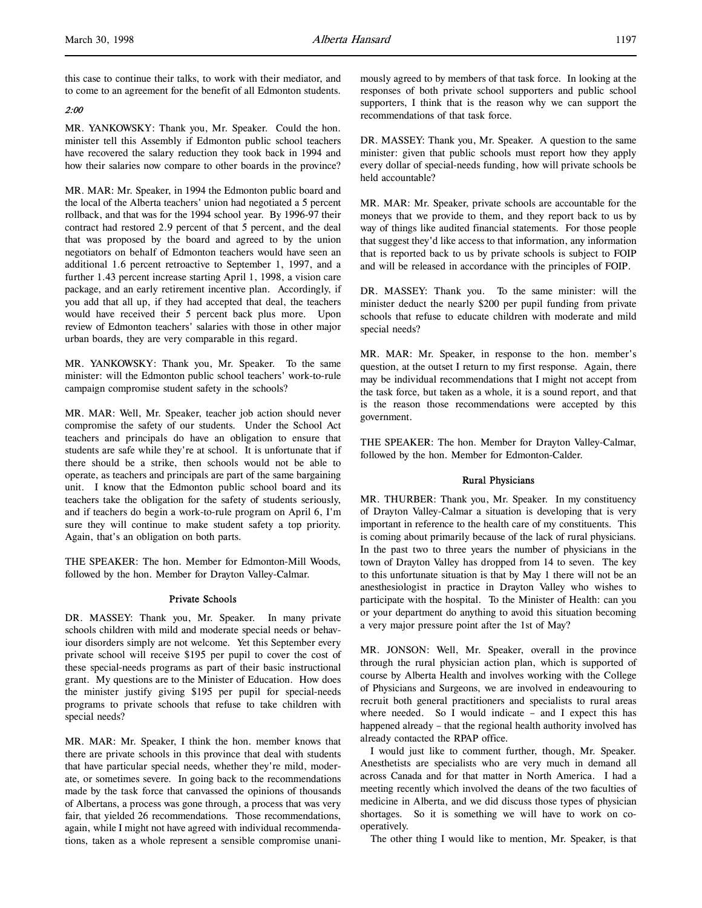this case to continue their talks, to work with their mediator, and to come to an agreement for the benefit of all Edmonton students.

### 2:00

MR. YANKOWSKY: Thank you, Mr. Speaker. Could the hon. minister tell this Assembly if Edmonton public school teachers have recovered the salary reduction they took back in 1994 and how their salaries now compare to other boards in the province?

MR. MAR: Mr. Speaker, in 1994 the Edmonton public board and the local of the Alberta teachers' union had negotiated a 5 percent rollback, and that was for the 1994 school year. By 1996-97 their contract had restored 2.9 percent of that 5 percent, and the deal that was proposed by the board and agreed to by the union negotiators on behalf of Edmonton teachers would have seen an additional 1.6 percent retroactive to September 1, 1997, and a further 1.43 percent increase starting April 1, 1998, a vision care package, and an early retirement incentive plan. Accordingly, if you add that all up, if they had accepted that deal, the teachers would have received their 5 percent back plus more. Upon review of Edmonton teachers' salaries with those in other major urban boards, they are very comparable in this regard.

MR. YANKOWSKY: Thank you, Mr. Speaker. To the same minister: will the Edmonton public school teachers' work-to-rule campaign compromise student safety in the schools?

MR. MAR: Well, Mr. Speaker, teacher job action should never compromise the safety of our students. Under the School Act teachers and principals do have an obligation to ensure that students are safe while they're at school. It is unfortunate that if there should be a strike, then schools would not be able to operate, as teachers and principals are part of the same bargaining unit. I know that the Edmonton public school board and its teachers take the obligation for the safety of students seriously, and if teachers do begin a work-to-rule program on April 6, I'm sure they will continue to make student safety a top priority. Again, that's an obligation on both parts.

THE SPEAKER: The hon. Member for Edmonton-Mill Woods, followed by the hon. Member for Drayton Valley-Calmar.

#### Private Schools

DR. MASSEY: Thank you, Mr. Speaker. In many private schools children with mild and moderate special needs or behaviour disorders simply are not welcome. Yet this September every private school will receive \$195 per pupil to cover the cost of these special-needs programs as part of their basic instructional grant. My questions are to the Minister of Education. How does the minister justify giving \$195 per pupil for special-needs programs to private schools that refuse to take children with special needs?

MR. MAR: Mr. Speaker, I think the hon. member knows that there are private schools in this province that deal with students that have particular special needs, whether they're mild, moderate, or sometimes severe. In going back to the recommendations made by the task force that canvassed the opinions of thousands of Albertans, a process was gone through, a process that was very fair, that yielded 26 recommendations. Those recommendations, again, while I might not have agreed with individual recommendations, taken as a whole represent a sensible compromise unanimously agreed to by members of that task force. In looking at the responses of both private school supporters and public school supporters, I think that is the reason why we can support the recommendations of that task force.

DR. MASSEY: Thank you, Mr. Speaker. A question to the same minister: given that public schools must report how they apply every dollar of special-needs funding, how will private schools be held accountable?

MR. MAR: Mr. Speaker, private schools are accountable for the moneys that we provide to them, and they report back to us by way of things like audited financial statements. For those people that suggest they'd like access to that information, any information that is reported back to us by private schools is subject to FOIP and will be released in accordance with the principles of FOIP.

DR. MASSEY: Thank you. To the same minister: will the minister deduct the nearly \$200 per pupil funding from private schools that refuse to educate children with moderate and mild special needs?

MR. MAR: Mr. Speaker, in response to the hon. member's question, at the outset I return to my first response. Again, there may be individual recommendations that I might not accept from the task force, but taken as a whole, it is a sound report, and that is the reason those recommendations were accepted by this government.

THE SPEAKER: The hon. Member for Drayton Valley-Calmar, followed by the hon. Member for Edmonton-Calder.

### Rural Physicians

MR. THURBER: Thank you, Mr. Speaker. In my constituency of Drayton Valley-Calmar a situation is developing that is very important in reference to the health care of my constituents. This is coming about primarily because of the lack of rural physicians. In the past two to three years the number of physicians in the town of Drayton Valley has dropped from 14 to seven. The key to this unfortunate situation is that by May 1 there will not be an anesthesiologist in practice in Drayton Valley who wishes to participate with the hospital. To the Minister of Health: can you or your department do anything to avoid this situation becoming a very major pressure point after the 1st of May?

MR. JONSON: Well, Mr. Speaker, overall in the province through the rural physician action plan, which is supported of course by Alberta Health and involves working with the College of Physicians and Surgeons, we are involved in endeavouring to recruit both general practitioners and specialists to rural areas where needed. So I would indicate - and I expect this has happened already – that the regional health authority involved has already contacted the RPAP office.

I would just like to comment further, though, Mr. Speaker. Anesthetists are specialists who are very much in demand all across Canada and for that matter in North America. I had a meeting recently which involved the deans of the two faculties of medicine in Alberta, and we did discuss those types of physician shortages. So it is something we will have to work on cooperatively.

The other thing I would like to mention, Mr. Speaker, is that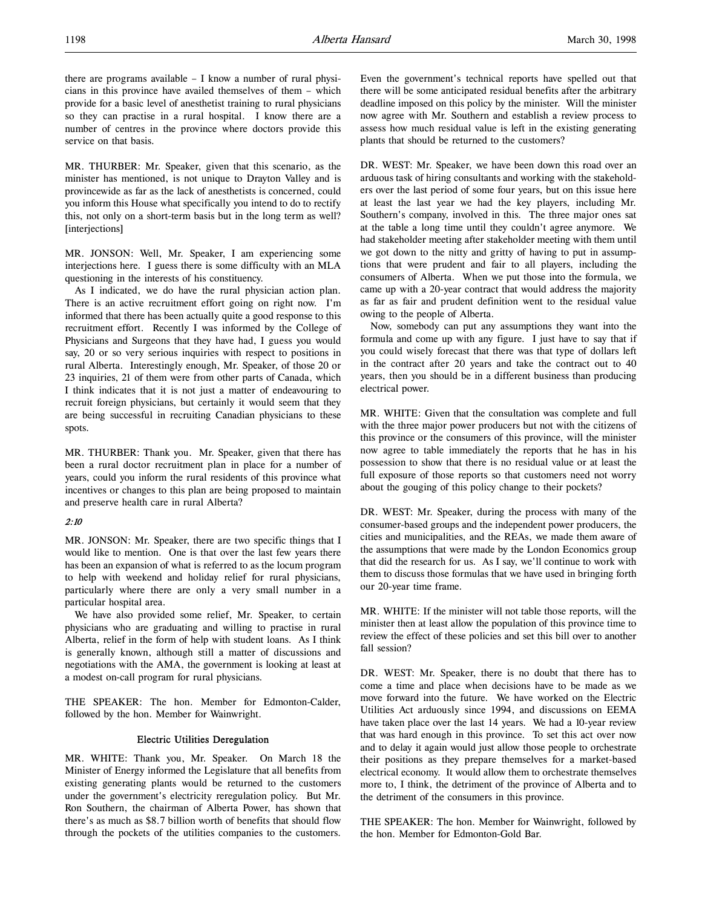there are programs available – I know a number of rural physicians in this province have availed themselves of them – which provide for a basic level of anesthetist training to rural physicians so they can practise in a rural hospital. I know there are a number of centres in the province where doctors provide this service on that basis.

MR. THURBER: Mr. Speaker, given that this scenario, as the minister has mentioned, is not unique to Drayton Valley and is provincewide as far as the lack of anesthetists is concerned, could you inform this House what specifically you intend to do to rectify this, not only on a short-term basis but in the long term as well? [interjections]

MR. JONSON: Well, Mr. Speaker, I am experiencing some interjections here. I guess there is some difficulty with an MLA questioning in the interests of his constituency.

As I indicated, we do have the rural physician action plan. There is an active recruitment effort going on right now. I'm informed that there has been actually quite a good response to this recruitment effort. Recently I was informed by the College of Physicians and Surgeons that they have had, I guess you would say, 20 or so very serious inquiries with respect to positions in rural Alberta. Interestingly enough, Mr. Speaker, of those 20 or 23 inquiries, 21 of them were from other parts of Canada, which I think indicates that it is not just a matter of endeavouring to recruit foreign physicians, but certainly it would seem that they are being successful in recruiting Canadian physicians to these spots.

MR. THURBER: Thank you. Mr. Speaker, given that there has been a rural doctor recruitment plan in place for a number of years, could you inform the rural residents of this province what incentives or changes to this plan are being proposed to maintain and preserve health care in rural Alberta?

### 2:10

MR. JONSON: Mr. Speaker, there are two specific things that I would like to mention. One is that over the last few years there has been an expansion of what is referred to as the locum program to help with weekend and holiday relief for rural physicians, particularly where there are only a very small number in a particular hospital area.

We have also provided some relief, Mr. Speaker, to certain physicians who are graduating and willing to practise in rural Alberta, relief in the form of help with student loans. As I think is generally known, although still a matter of discussions and negotiations with the AMA, the government is looking at least at a modest on-call program for rural physicians.

THE SPEAKER: The hon. Member for Edmonton-Calder, followed by the hon. Member for Wainwright.

### Electric Utilities Deregulation

MR. WHITE: Thank you, Mr. Speaker. On March 18 the Minister of Energy informed the Legislature that all benefits from existing generating plants would be returned to the customers under the government's electricity reregulation policy. But Mr. Ron Southern, the chairman of Alberta Power, has shown that there's as much as \$8.7 billion worth of benefits that should flow through the pockets of the utilities companies to the customers.

Even the government's technical reports have spelled out that there will be some anticipated residual benefits after the arbitrary deadline imposed on this policy by the minister. Will the minister now agree with Mr. Southern and establish a review process to assess how much residual value is left in the existing generating plants that should be returned to the customers?

DR. WEST: Mr. Speaker, we have been down this road over an arduous task of hiring consultants and working with the stakeholders over the last period of some four years, but on this issue here at least the last year we had the key players, including Mr. Southern's company, involved in this. The three major ones sat at the table a long time until they couldn't agree anymore. We had stakeholder meeting after stakeholder meeting with them until we got down to the nitty and gritty of having to put in assumptions that were prudent and fair to all players, including the consumers of Alberta. When we put those into the formula, we came up with a 20-year contract that would address the majority as far as fair and prudent definition went to the residual value owing to the people of Alberta.

Now, somebody can put any assumptions they want into the formula and come up with any figure. I just have to say that if you could wisely forecast that there was that type of dollars left in the contract after 20 years and take the contract out to 40 years, then you should be in a different business than producing electrical power.

MR. WHITE: Given that the consultation was complete and full with the three major power producers but not with the citizens of this province or the consumers of this province, will the minister now agree to table immediately the reports that he has in his possession to show that there is no residual value or at least the full exposure of those reports so that customers need not worry about the gouging of this policy change to their pockets?

DR. WEST: Mr. Speaker, during the process with many of the consumer-based groups and the independent power producers, the cities and municipalities, and the REAs, we made them aware of the assumptions that were made by the London Economics group that did the research for us. As I say, we'll continue to work with them to discuss those formulas that we have used in bringing forth our 20-year time frame.

MR. WHITE: If the minister will not table those reports, will the minister then at least allow the population of this province time to review the effect of these policies and set this bill over to another fall session?

DR. WEST: Mr. Speaker, there is no doubt that there has to come a time and place when decisions have to be made as we move forward into the future. We have worked on the Electric Utilities Act arduously since 1994, and discussions on EEMA have taken place over the last 14 years. We had a 10-year review that was hard enough in this province. To set this act over now and to delay it again would just allow those people to orchestrate their positions as they prepare themselves for a market-based electrical economy. It would allow them to orchestrate themselves more to, I think, the detriment of the province of Alberta and to the detriment of the consumers in this province.

THE SPEAKER: The hon. Member for Wainwright, followed by the hon. Member for Edmonton-Gold Bar.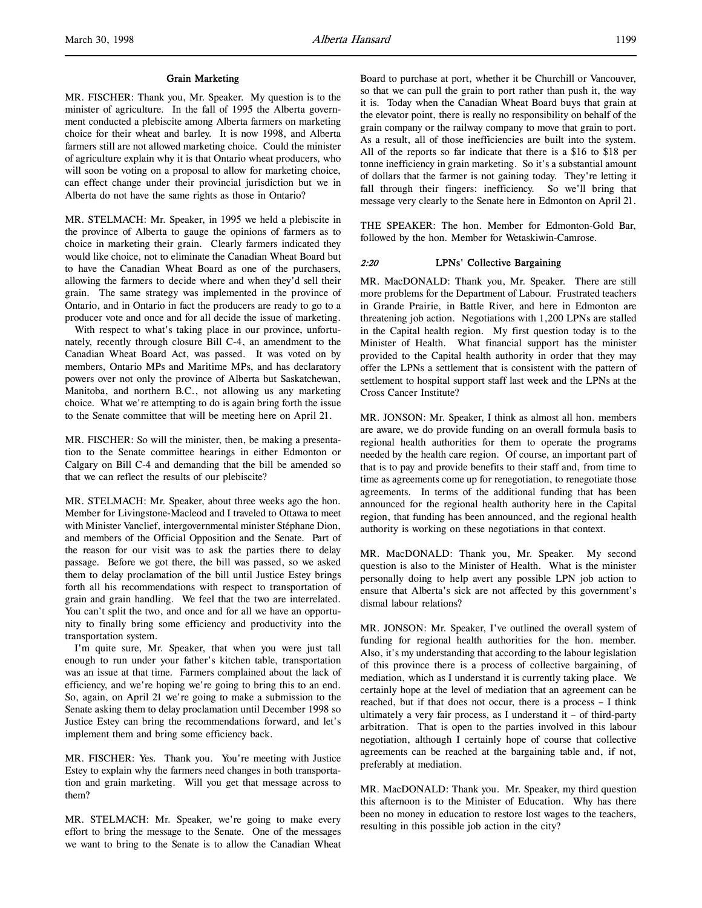#### Grain Marketing

MR. FISCHER: Thank you, Mr. Speaker. My question is to the minister of agriculture. In the fall of 1995 the Alberta government conducted a plebiscite among Alberta farmers on marketing choice for their wheat and barley. It is now 1998, and Alberta farmers still are not allowed marketing choice. Could the minister of agriculture explain why it is that Ontario wheat producers, who will soon be voting on a proposal to allow for marketing choice, can effect change under their provincial jurisdiction but we in Alberta do not have the same rights as those in Ontario?

MR. STELMACH: Mr. Speaker, in 1995 we held a plebiscite in the province of Alberta to gauge the opinions of farmers as to choice in marketing their grain. Clearly farmers indicated they would like choice, not to eliminate the Canadian Wheat Board but to have the Canadian Wheat Board as one of the purchasers, allowing the farmers to decide where and when they'd sell their grain. The same strategy was implemented in the province of Ontario, and in Ontario in fact the producers are ready to go to a producer vote and once and for all decide the issue of marketing.

With respect to what's taking place in our province, unfortunately, recently through closure Bill C-4, an amendment to the Canadian Wheat Board Act, was passed. It was voted on by members, Ontario MPs and Maritime MPs, and has declaratory powers over not only the province of Alberta but Saskatchewan, Manitoba, and northern B.C., not allowing us any marketing choice. What we're attempting to do is again bring forth the issue to the Senate committee that will be meeting here on April 21.

MR. FISCHER: So will the minister, then, be making a presentation to the Senate committee hearings in either Edmonton or Calgary on Bill C-4 and demanding that the bill be amended so that we can reflect the results of our plebiscite?

MR. STELMACH: Mr. Speaker, about three weeks ago the hon. Member for Livingstone-Macleod and I traveled to Ottawa to meet with Minister Vanclief, intergovernmental minister Stéphane Dion, and members of the Official Opposition and the Senate. Part of the reason for our visit was to ask the parties there to delay passage. Before we got there, the bill was passed, so we asked them to delay proclamation of the bill until Justice Estey brings forth all his recommendations with respect to transportation of grain and grain handling. We feel that the two are interrelated. You can't split the two, and once and for all we have an opportunity to finally bring some efficiency and productivity into the transportation system.

I'm quite sure, Mr. Speaker, that when you were just tall enough to run under your father's kitchen table, transportation was an issue at that time. Farmers complained about the lack of efficiency, and we're hoping we're going to bring this to an end. So, again, on April 21 we're going to make a submission to the Senate asking them to delay proclamation until December 1998 so Justice Estey can bring the recommendations forward, and let's implement them and bring some efficiency back.

MR. FISCHER: Yes. Thank you. You're meeting with Justice Estey to explain why the farmers need changes in both transportation and grain marketing. Will you get that message across to them?

MR. STELMACH: Mr. Speaker, we're going to make every effort to bring the message to the Senate. One of the messages we want to bring to the Senate is to allow the Canadian Wheat Board to purchase at port, whether it be Churchill or Vancouver, so that we can pull the grain to port rather than push it, the way it is. Today when the Canadian Wheat Board buys that grain at the elevator point, there is really no responsibility on behalf of the grain company or the railway company to move that grain to port. As a result, all of those inefficiencies are built into the system. All of the reports so far indicate that there is a \$16 to \$18 per tonne inefficiency in grain marketing. So it's a substantial amount of dollars that the farmer is not gaining today. They're letting it fall through their fingers: inefficiency. So we'll bring that message very clearly to the Senate here in Edmonton on April 21.

THE SPEAKER: The hon. Member for Edmonton-Gold Bar, followed by the hon. Member for Wetaskiwin-Camrose.

### 2:20 LPNs' Collective Bargaining

MR. MacDONALD: Thank you, Mr. Speaker. There are still more problems for the Department of Labour. Frustrated teachers in Grande Prairie, in Battle River, and here in Edmonton are threatening job action. Negotiations with 1,200 LPNs are stalled in the Capital health region. My first question today is to the Minister of Health. What financial support has the minister provided to the Capital health authority in order that they may offer the LPNs a settlement that is consistent with the pattern of settlement to hospital support staff last week and the LPNs at the Cross Cancer Institute?

MR. JONSON: Mr. Speaker, I think as almost all hon. members are aware, we do provide funding on an overall formula basis to regional health authorities for them to operate the programs needed by the health care region. Of course, an important part of that is to pay and provide benefits to their staff and, from time to time as agreements come up for renegotiation, to renegotiate those agreements. In terms of the additional funding that has been announced for the regional health authority here in the Capital region, that funding has been announced, and the regional health authority is working on these negotiations in that context.

MR. MacDONALD: Thank you, Mr. Speaker. My second question is also to the Minister of Health. What is the minister personally doing to help avert any possible LPN job action to ensure that Alberta's sick are not affected by this government's dismal labour relations?

MR. JONSON: Mr. Speaker, I've outlined the overall system of funding for regional health authorities for the hon. member. Also, it's my understanding that according to the labour legislation of this province there is a process of collective bargaining, of mediation, which as I understand it is currently taking place. We certainly hope at the level of mediation that an agreement can be reached, but if that does not occur, there is a process – I think ultimately a very fair process, as I understand it – of third-party arbitration. That is open to the parties involved in this labour negotiation, although I certainly hope of course that collective agreements can be reached at the bargaining table and, if not, preferably at mediation.

MR. MacDONALD: Thank you. Mr. Speaker, my third question this afternoon is to the Minister of Education. Why has there been no money in education to restore lost wages to the teachers, resulting in this possible job action in the city?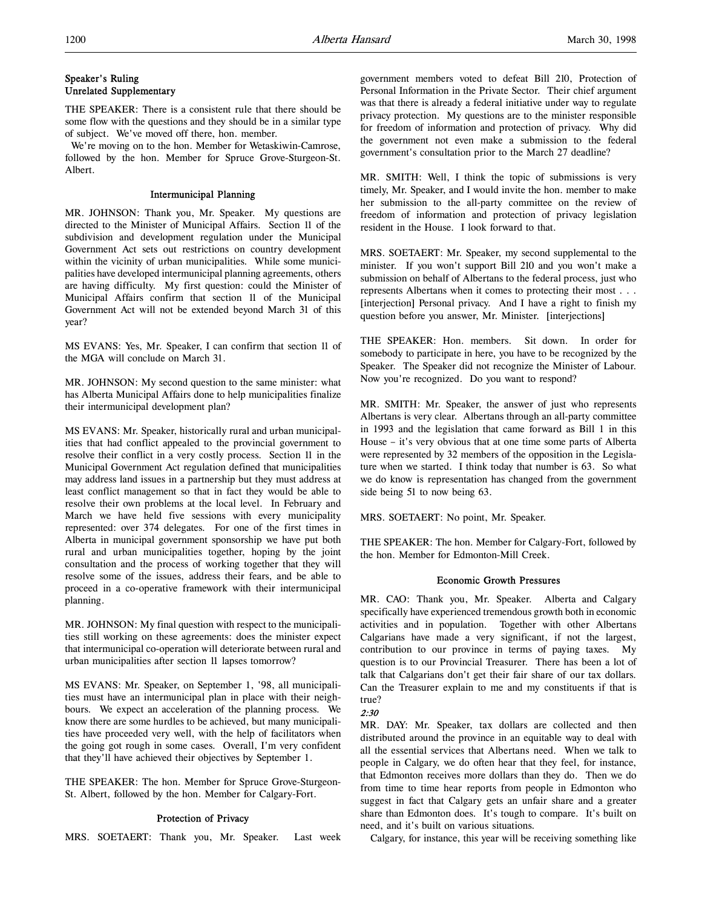### Speaker's Ruling Unrelated Supplementary

THE SPEAKER: There is a consistent rule that there should be some flow with the questions and they should be in a similar type of subject. We've moved off there, hon. member.

 We're moving on to the hon. Member for Wetaskiwin-Camrose, followed by the hon. Member for Spruce Grove-Sturgeon-St. Albert.

### Intermunicipal Planning

MR. JOHNSON: Thank you, Mr. Speaker. My questions are directed to the Minister of Municipal Affairs. Section 11 of the subdivision and development regulation under the Municipal Government Act sets out restrictions on country development within the vicinity of urban municipalities. While some municipalities have developed intermunicipal planning agreements, others are having difficulty. My first question: could the Minister of Municipal Affairs confirm that section 11 of the Municipal Government Act will not be extended beyond March 31 of this year?

MS EVANS: Yes, Mr. Speaker, I can confirm that section 11 of the MGA will conclude on March 31.

MR. JOHNSON: My second question to the same minister: what has Alberta Municipal Affairs done to help municipalities finalize their intermunicipal development plan?

MS EVANS: Mr. Speaker, historically rural and urban municipalities that had conflict appealed to the provincial government to resolve their conflict in a very costly process. Section 11 in the Municipal Government Act regulation defined that municipalities may address land issues in a partnership but they must address at least conflict management so that in fact they would be able to resolve their own problems at the local level. In February and March we have held five sessions with every municipality represented: over 374 delegates. For one of the first times in Alberta in municipal government sponsorship we have put both rural and urban municipalities together, hoping by the joint consultation and the process of working together that they will resolve some of the issues, address their fears, and be able to proceed in a co-operative framework with their intermunicipal planning.

MR. JOHNSON: My final question with respect to the municipalities still working on these agreements: does the minister expect that intermunicipal co-operation will deteriorate between rural and urban municipalities after section 11 lapses tomorrow?

MS EVANS: Mr. Speaker, on September 1, '98, all municipalities must have an intermunicipal plan in place with their neighbours. We expect an acceleration of the planning process. We know there are some hurdles to be achieved, but many municipalities have proceeded very well, with the help of facilitators when the going got rough in some cases. Overall, I'm very confident that they'll have achieved their objectives by September 1.

THE SPEAKER: The hon. Member for Spruce Grove-Sturgeon-St. Albert, followed by the hon. Member for Calgary-Fort.

### Protection of Privacy

MRS. SOETAERT: Thank you, Mr. Speaker. Last week

government members voted to defeat Bill 210, Protection of Personal Information in the Private Sector. Their chief argument was that there is already a federal initiative under way to regulate privacy protection. My questions are to the minister responsible for freedom of information and protection of privacy. Why did the government not even make a submission to the federal government's consultation prior to the March 27 deadline?

MR. SMITH: Well, I think the topic of submissions is very timely, Mr. Speaker, and I would invite the hon. member to make her submission to the all-party committee on the review of freedom of information and protection of privacy legislation resident in the House. I look forward to that.

MRS. SOETAERT: Mr. Speaker, my second supplemental to the minister. If you won't support Bill 210 and you won't make a submission on behalf of Albertans to the federal process, just who represents Albertans when it comes to protecting their most . . . [interjection] Personal privacy. And I have a right to finish my question before you answer, Mr. Minister. [interjections]

THE SPEAKER: Hon. members. Sit down. In order for somebody to participate in here, you have to be recognized by the Speaker. The Speaker did not recognize the Minister of Labour. Now you're recognized. Do you want to respond?

MR. SMITH: Mr. Speaker, the answer of just who represents Albertans is very clear. Albertans through an all-party committee in 1993 and the legislation that came forward as Bill 1 in this House – it's very obvious that at one time some parts of Alberta were represented by 32 members of the opposition in the Legislature when we started. I think today that number is 63. So what we do know is representation has changed from the government side being 51 to now being 63.

MRS. SOETAERT: No point, Mr. Speaker.

THE SPEAKER: The hon. Member for Calgary-Fort, followed by the hon. Member for Edmonton-Mill Creek.

#### Economic Growth Pressures

MR. CAO: Thank you, Mr. Speaker. Alberta and Calgary specifically have experienced tremendous growth both in economic activities and in population. Together with other Albertans Calgarians have made a very significant, if not the largest, contribution to our province in terms of paying taxes. My question is to our Provincial Treasurer. There has been a lot of talk that Calgarians don't get their fair share of our tax dollars. Can the Treasurer explain to me and my constituents if that is true?

2:30

MR. DAY: Mr. Speaker, tax dollars are collected and then distributed around the province in an equitable way to deal with all the essential services that Albertans need. When we talk to people in Calgary, we do often hear that they feel, for instance, that Edmonton receives more dollars than they do. Then we do from time to time hear reports from people in Edmonton who suggest in fact that Calgary gets an unfair share and a greater share than Edmonton does. It's tough to compare. It's built on need, and it's built on various situations.

Calgary, for instance, this year will be receiving something like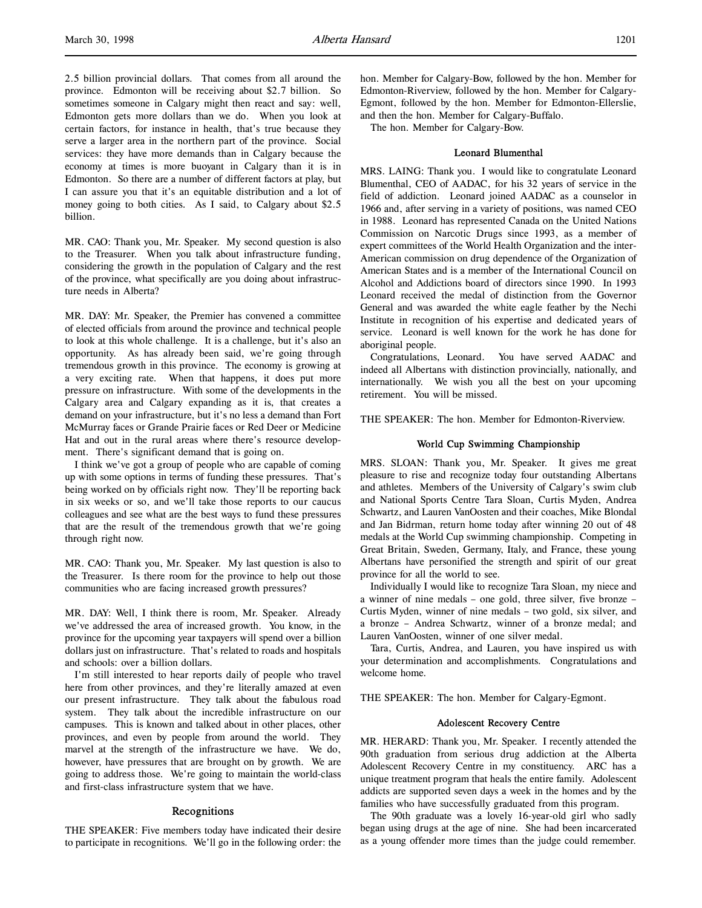2.5 billion provincial dollars. That comes from all around the province. Edmonton will be receiving about \$2.7 billion. So sometimes someone in Calgary might then react and say: well, Edmonton gets more dollars than we do. When you look at certain factors, for instance in health, that's true because they serve a larger area in the northern part of the province. Social services: they have more demands than in Calgary because the economy at times is more buoyant in Calgary than it is in Edmonton. So there are a number of different factors at play, but I can assure you that it's an equitable distribution and a lot of money going to both cities. As I said, to Calgary about \$2.5 billion.

MR. CAO: Thank you, Mr. Speaker. My second question is also to the Treasurer. When you talk about infrastructure funding, considering the growth in the population of Calgary and the rest of the province, what specifically are you doing about infrastructure needs in Alberta?

MR. DAY: Mr. Speaker, the Premier has convened a committee of elected officials from around the province and technical people to look at this whole challenge. It is a challenge, but it's also an opportunity. As has already been said, we're going through tremendous growth in this province. The economy is growing at a very exciting rate. When that happens, it does put more pressure on infrastructure. With some of the developments in the Calgary area and Calgary expanding as it is, that creates a demand on your infrastructure, but it's no less a demand than Fort McMurray faces or Grande Prairie faces or Red Deer or Medicine Hat and out in the rural areas where there's resource development. There's significant demand that is going on.

I think we've got a group of people who are capable of coming up with some options in terms of funding these pressures. That's being worked on by officials right now. They'll be reporting back in six weeks or so, and we'll take those reports to our caucus colleagues and see what are the best ways to fund these pressures that are the result of the tremendous growth that we're going through right now.

MR. CAO: Thank you, Mr. Speaker. My last question is also to the Treasurer. Is there room for the province to help out those communities who are facing increased growth pressures?

MR. DAY: Well, I think there is room, Mr. Speaker. Already we've addressed the area of increased growth. You know, in the province for the upcoming year taxpayers will spend over a billion dollars just on infrastructure. That's related to roads and hospitals and schools: over a billion dollars.

I'm still interested to hear reports daily of people who travel here from other provinces, and they're literally amazed at even our present infrastructure. They talk about the fabulous road system. They talk about the incredible infrastructure on our campuses. This is known and talked about in other places, other provinces, and even by people from around the world. They marvel at the strength of the infrastructure we have. We do, however, have pressures that are brought on by growth. We are going to address those. We're going to maintain the world-class and first-class infrastructure system that we have.

#### Recognitions

THE SPEAKER: Five members today have indicated their desire to participate in recognitions. We'll go in the following order: the

hon. Member for Calgary-Bow, followed by the hon. Member for Edmonton-Riverview, followed by the hon. Member for Calgary-Egmont, followed by the hon. Member for Edmonton-Ellerslie, and then the hon. Member for Calgary-Buffalo.

The hon. Member for Calgary-Bow.

### Leonard Blumenthal

MRS. LAING: Thank you. I would like to congratulate Leonard Blumenthal, CEO of AADAC, for his 32 years of service in the field of addiction. Leonard joined AADAC as a counselor in 1966 and, after serving in a variety of positions, was named CEO in 1988. Leonard has represented Canada on the United Nations Commission on Narcotic Drugs since 1993, as a member of expert committees of the World Health Organization and the inter-American commission on drug dependence of the Organization of American States and is a member of the International Council on Alcohol and Addictions board of directors since 1990. In 1993 Leonard received the medal of distinction from the Governor General and was awarded the white eagle feather by the Nechi Institute in recognition of his expertise and dedicated years of service. Leonard is well known for the work he has done for aboriginal people.

Congratulations, Leonard. You have served AADAC and indeed all Albertans with distinction provincially, nationally, and internationally. We wish you all the best on your upcoming retirement. You will be missed.

THE SPEAKER: The hon. Member for Edmonton-Riverview.

#### World Cup Swimming Championship

MRS. SLOAN: Thank you, Mr. Speaker. It gives me great pleasure to rise and recognize today four outstanding Albertans and athletes. Members of the University of Calgary's swim club and National Sports Centre Tara Sloan, Curtis Myden, Andrea Schwartz, and Lauren VanOosten and their coaches, Mike Blondal and Jan Bidrman, return home today after winning 20 out of 48 medals at the World Cup swimming championship. Competing in Great Britain, Sweden, Germany, Italy, and France, these young Albertans have personified the strength and spirit of our great province for all the world to see.

Individually I would like to recognize Tara Sloan, my niece and a winner of nine medals – one gold, three silver, five bronze – Curtis Myden, winner of nine medals – two gold, six silver, and a bronze – Andrea Schwartz, winner of a bronze medal; and Lauren VanOosten, winner of one silver medal.

Tara, Curtis, Andrea, and Lauren, you have inspired us with your determination and accomplishments. Congratulations and welcome home.

THE SPEAKER: The hon. Member for Calgary-Egmont.

#### Adolescent Recovery Centre

MR. HERARD: Thank you, Mr. Speaker. I recently attended the 90th graduation from serious drug addiction at the Alberta Adolescent Recovery Centre in my constituency. ARC has a unique treatment program that heals the entire family. Adolescent addicts are supported seven days a week in the homes and by the families who have successfully graduated from this program.

The 90th graduate was a lovely 16-year-old girl who sadly began using drugs at the age of nine. She had been incarcerated as a young offender more times than the judge could remember.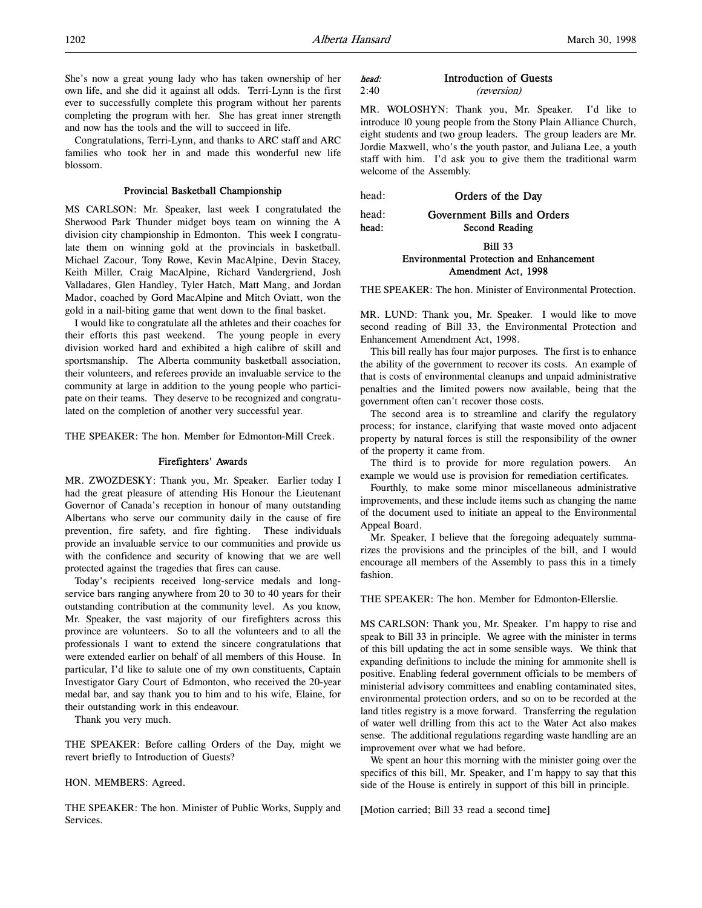She's now a great young lady who has taken ownership of her own life, and she did it against all odds. Terri-Lynn is the first ever to successfully complete this program without her parents completing the program with her. She has great inner strength and now has the tools and the will to succeed in life.

Congratulations, Terri-Lynn, and thanks to ARC staff and ARC families who took her in and made this wonderful new life blossom.

### Provincial Basketball Championship

MS CARLSON: Mr. Speaker, last week I congratulated the Sherwood Park Thunder midget boys team on winning the A division city championship in Edmonton. This week I congratulate them on winning gold at the provincials in basketball. Michael Zacour, Tony Rowe, Kevin MacAlpine, Devin Stacey, Keith Miller, Craig MacAlpine, Richard Vandergriend, Josh Valladares, Glen Handley, Tyler Hatch, Matt Mang, and Jordan Mador, coached by Gord MacAlpine and Mitch Oviatt, won the gold in a nail-biting game that went down to the final basket.

I would like to congratulate all the athletes and their coaches for their efforts this past weekend. The young people in every division worked hard and exhibited a high calibre of skill and sportsmanship. The Alberta community basketball association, their volunteers, and referees provide an invaluable service to the community at large in addition to the young people who participate on their teams. They deserve to be recognized and congratulated on the completion of another very successful year.

THE SPEAKER: The hon. Member for Edmonton-Mill Creek.

### Firefighters' Awards

MR. ZWOZDESKY: Thank you, Mr. Speaker. Earlier today I had the great pleasure of attending His Honour the Lieutenant Governor of Canada's reception in honour of many outstanding Albertans who serve our community daily in the cause of fire prevention, fire safety, and fire fighting. These individuals provide an invaluable service to our communities and provide us with the confidence and security of knowing that we are well protected against the tragedies that fires can cause.

Today's recipients received long-service medals and longservice bars ranging anywhere from 20 to 30 to 40 years for their outstanding contribution at the community level. As you know, Mr. Speaker, the vast majority of our firefighters across this province are volunteers. So to all the volunteers and to all the professionals I want to extend the sincere congratulations that were extended earlier on behalf of all members of this House. In particular, I'd like to salute one of my own constituents, Captain Investigator Gary Court of Edmonton, who received the 20-year medal bar, and say thank you to him and to his wife, Elaine, for their outstanding work in this endeavour.

Thank you very much.

THE SPEAKER: Before calling Orders of the Day, might we revert briefly to Introduction of Guests?

#### HON. MEMBERS: Agreed.

THE SPEAKER: The hon. Minister of Public Works, Supply and Services.

### head: Introduction of Guests 2:40 (reversion)

MR. WOLOSHYN: Thank you, Mr. Speaker. I'd like to introduce 10 young people from the Stony Plain Alliance Church, eight students and two group leaders. The group leaders are Mr. Jordie Maxwell, who's the youth pastor, and Juliana Lee, a youth staff with him. I'd ask you to give them the traditional warm welcome of the Assembly.

head: **Orders of the Day** 

head: Government Bills and Orders

head: Second Reading

### Bill 33 Environmental Protection and Enhancement Amendment Act, 1998

THE SPEAKER: The hon. Minister of Environmental Protection.

MR. LUND: Thank you, Mr. Speaker. I would like to move second reading of Bill 33, the Environmental Protection and Enhancement Amendment Act, 1998.

This bill really has four major purposes. The first is to enhance the ability of the government to recover its costs. An example of that is costs of environmental cleanups and unpaid administrative penalties and the limited powers now available, being that the government often can't recover those costs.

The second area is to streamline and clarify the regulatory process; for instance, clarifying that waste moved onto adjacent property by natural forces is still the responsibility of the owner of the property it came from.

The third is to provide for more regulation powers. An example we would use is provision for remediation certificates.

Fourthly, to make some minor miscellaneous administrative improvements, and these include items such as changing the name of the document used to initiate an appeal to the Environmental Appeal Board.

Mr. Speaker, I believe that the foregoing adequately summarizes the provisions and the principles of the bill, and I would encourage all members of the Assembly to pass this in a timely fashion.

THE SPEAKER: The hon. Member for Edmonton-Ellerslie.

MS CARLSON: Thank you, Mr. Speaker. I'm happy to rise and speak to Bill 33 in principle. We agree with the minister in terms of this bill updating the act in some sensible ways. We think that expanding definitions to include the mining for ammonite shell is positive. Enabling federal government officials to be members of ministerial advisory committees and enabling contaminated sites, environmental protection orders, and so on to be recorded at the land titles registry is a move forward. Transferring the regulation of water well drilling from this act to the Water Act also makes sense. The additional regulations regarding waste handling are an improvement over what we had before.

We spent an hour this morning with the minister going over the specifics of this bill, Mr. Speaker, and I'm happy to say that this side of the House is entirely in support of this bill in principle.

[Motion carried; Bill 33 read a second time]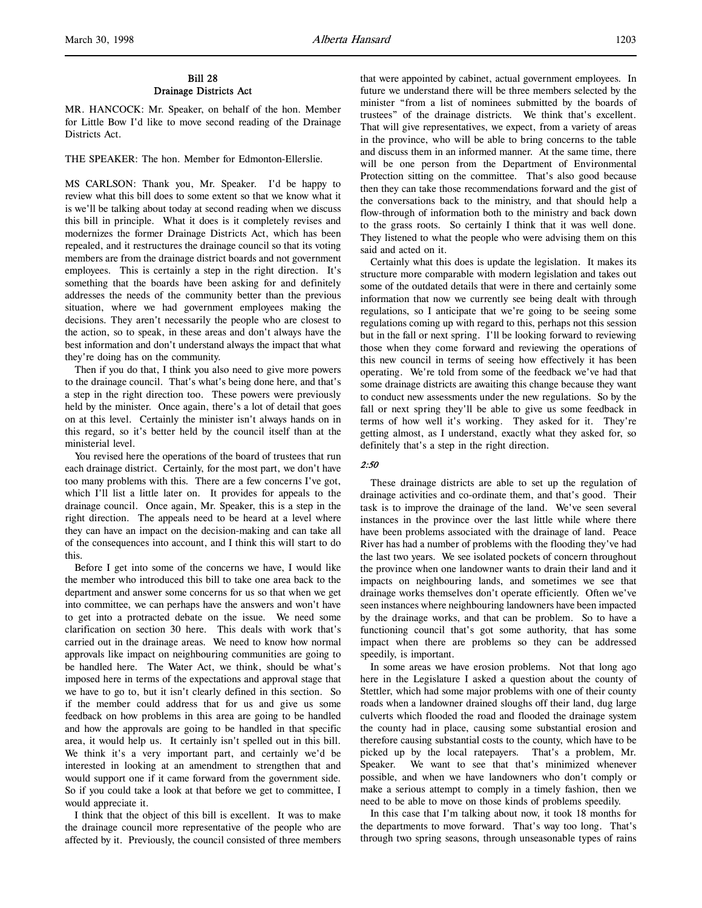### Bill 28 Drainage Districts Act

MR. HANCOCK: Mr. Speaker, on behalf of the hon. Member for Little Bow I'd like to move second reading of the Drainage Districts Act.

THE SPEAKER: The hon. Member for Edmonton-Ellerslie.

MS CARLSON: Thank you, Mr. Speaker. I'd be happy to review what this bill does to some extent so that we know what it is we'll be talking about today at second reading when we discuss this bill in principle. What it does is it completely revises and modernizes the former Drainage Districts Act, which has been repealed, and it restructures the drainage council so that its voting members are from the drainage district boards and not government employees. This is certainly a step in the right direction. It's something that the boards have been asking for and definitely addresses the needs of the community better than the previous situation, where we had government employees making the decisions. They aren't necessarily the people who are closest to the action, so to speak, in these areas and don't always have the best information and don't understand always the impact that what they're doing has on the community.

Then if you do that, I think you also need to give more powers to the drainage council. That's what's being done here, and that's a step in the right direction too. These powers were previously held by the minister. Once again, there's a lot of detail that goes on at this level. Certainly the minister isn't always hands on in this regard, so it's better held by the council itself than at the ministerial level.

You revised here the operations of the board of trustees that run each drainage district. Certainly, for the most part, we don't have too many problems with this. There are a few concerns I've got, which I'll list a little later on. It provides for appeals to the drainage council. Once again, Mr. Speaker, this is a step in the right direction. The appeals need to be heard at a level where they can have an impact on the decision-making and can take all of the consequences into account, and I think this will start to do this.

Before I get into some of the concerns we have, I would like the member who introduced this bill to take one area back to the department and answer some concerns for us so that when we get into committee, we can perhaps have the answers and won't have to get into a protracted debate on the issue. We need some clarification on section 30 here. This deals with work that's carried out in the drainage areas. We need to know how normal approvals like impact on neighbouring communities are going to be handled here. The Water Act, we think, should be what's imposed here in terms of the expectations and approval stage that we have to go to, but it isn't clearly defined in this section. So if the member could address that for us and give us some feedback on how problems in this area are going to be handled and how the approvals are going to be handled in that specific area, it would help us. It certainly isn't spelled out in this bill. We think it's a very important part, and certainly we'd be interested in looking at an amendment to strengthen that and would support one if it came forward from the government side. So if you could take a look at that before we get to committee, I would appreciate it.

I think that the object of this bill is excellent. It was to make the drainage council more representative of the people who are affected by it. Previously, the council consisted of three members that were appointed by cabinet, actual government employees. In future we understand there will be three members selected by the minister "from a list of nominees submitted by the boards of trustees" of the drainage districts. We think that's excellent. That will give representatives, we expect, from a variety of areas in the province, who will be able to bring concerns to the table and discuss them in an informed manner. At the same time, there will be one person from the Department of Environmental Protection sitting on the committee. That's also good because then they can take those recommendations forward and the gist of the conversations back to the ministry, and that should help a flow-through of information both to the ministry and back down to the grass roots. So certainly I think that it was well done. They listened to what the people who were advising them on this said and acted on it.

Certainly what this does is update the legislation. It makes its structure more comparable with modern legislation and takes out some of the outdated details that were in there and certainly some information that now we currently see being dealt with through regulations, so I anticipate that we're going to be seeing some regulations coming up with regard to this, perhaps not this session but in the fall or next spring. I'll be looking forward to reviewing those when they come forward and reviewing the operations of this new council in terms of seeing how effectively it has been operating. We're told from some of the feedback we've had that some drainage districts are awaiting this change because they want to conduct new assessments under the new regulations. So by the fall or next spring they'll be able to give us some feedback in terms of how well it's working. They asked for it. They're getting almost, as I understand, exactly what they asked for, so definitely that's a step in the right direction.

### 2:50

These drainage districts are able to set up the regulation of drainage activities and co-ordinate them, and that's good. Their task is to improve the drainage of the land. We've seen several instances in the province over the last little while where there have been problems associated with the drainage of land. Peace River has had a number of problems with the flooding they've had the last two years. We see isolated pockets of concern throughout the province when one landowner wants to drain their land and it impacts on neighbouring lands, and sometimes we see that drainage works themselves don't operate efficiently. Often we've seen instances where neighbouring landowners have been impacted by the drainage works, and that can be problem. So to have a functioning council that's got some authority, that has some impact when there are problems so they can be addressed speedily, is important.

In some areas we have erosion problems. Not that long ago here in the Legislature I asked a question about the county of Stettler, which had some major problems with one of their county roads when a landowner drained sloughs off their land, dug large culverts which flooded the road and flooded the drainage system the county had in place, causing some substantial erosion and therefore causing substantial costs to the county, which have to be picked up by the local ratepayers. That's a problem, Mr. Speaker. We want to see that that's minimized whenever possible, and when we have landowners who don't comply or make a serious attempt to comply in a timely fashion, then we need to be able to move on those kinds of problems speedily.

In this case that I'm talking about now, it took 18 months for the departments to move forward. That's way too long. That's through two spring seasons, through unseasonable types of rains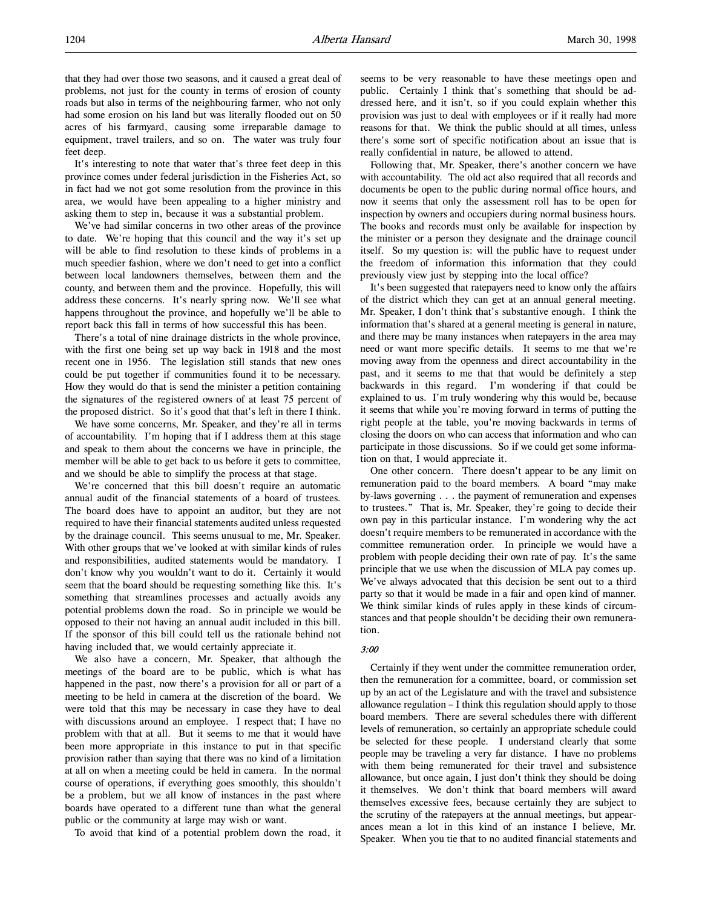that they had over those two seasons, and it caused a great deal of problems, not just for the county in terms of erosion of county roads but also in terms of the neighbouring farmer, who not only had some erosion on his land but was literally flooded out on 50 acres of his farmyard, causing some irreparable damage to equipment, travel trailers, and so on. The water was truly four feet deep.

It's interesting to note that water that's three feet deep in this province comes under federal jurisdiction in the Fisheries Act, so in fact had we not got some resolution from the province in this area, we would have been appealing to a higher ministry and asking them to step in, because it was a substantial problem.

We've had similar concerns in two other areas of the province to date. We're hoping that this council and the way it's set up will be able to find resolution to these kinds of problems in a much speedier fashion, where we don't need to get into a conflict between local landowners themselves, between them and the county, and between them and the province. Hopefully, this will address these concerns. It's nearly spring now. We'll see what happens throughout the province, and hopefully we'll be able to report back this fall in terms of how successful this has been.

There's a total of nine drainage districts in the whole province, with the first one being set up way back in 1918 and the most recent one in 1956. The legislation still stands that new ones could be put together if communities found it to be necessary. How they would do that is send the minister a petition containing the signatures of the registered owners of at least 75 percent of the proposed district. So it's good that that's left in there I think.

We have some concerns, Mr. Speaker, and they're all in terms of accountability. I'm hoping that if I address them at this stage and speak to them about the concerns we have in principle, the member will be able to get back to us before it gets to committee, and we should be able to simplify the process at that stage.

We're concerned that this bill doesn't require an automatic annual audit of the financial statements of a board of trustees. The board does have to appoint an auditor, but they are not required to have their financial statements audited unless requested by the drainage council. This seems unusual to me, Mr. Speaker. With other groups that we've looked at with similar kinds of rules and responsibilities, audited statements would be mandatory. I don't know why you wouldn't want to do it. Certainly it would seem that the board should be requesting something like this. It's something that streamlines processes and actually avoids any potential problems down the road. So in principle we would be opposed to their not having an annual audit included in this bill. If the sponsor of this bill could tell us the rationale behind not having included that, we would certainly appreciate it.

We also have a concern, Mr. Speaker, that although the meetings of the board are to be public, which is what has happened in the past, now there's a provision for all or part of a meeting to be held in camera at the discretion of the board. We were told that this may be necessary in case they have to deal with discussions around an employee. I respect that; I have no problem with that at all. But it seems to me that it would have been more appropriate in this instance to put in that specific provision rather than saying that there was no kind of a limitation at all on when a meeting could be held in camera. In the normal course of operations, if everything goes smoothly, this shouldn't be a problem, but we all know of instances in the past where boards have operated to a different tune than what the general public or the community at large may wish or want.

To avoid that kind of a potential problem down the road, it

seems to be very reasonable to have these meetings open and public. Certainly I think that's something that should be addressed here, and it isn't, so if you could explain whether this provision was just to deal with employees or if it really had more reasons for that. We think the public should at all times, unless there's some sort of specific notification about an issue that is really confidential in nature, be allowed to attend.

Following that, Mr. Speaker, there's another concern we have with accountability. The old act also required that all records and documents be open to the public during normal office hours, and now it seems that only the assessment roll has to be open for inspection by owners and occupiers during normal business hours. The books and records must only be available for inspection by the minister or a person they designate and the drainage council itself. So my question is: will the public have to request under the freedom of information this information that they could previously view just by stepping into the local office?

It's been suggested that ratepayers need to know only the affairs of the district which they can get at an annual general meeting. Mr. Speaker, I don't think that's substantive enough. I think the information that's shared at a general meeting is general in nature, and there may be many instances when ratepayers in the area may need or want more specific details. It seems to me that we're moving away from the openness and direct accountability in the past, and it seems to me that that would be definitely a step backwards in this regard. I'm wondering if that could be explained to us. I'm truly wondering why this would be, because it seems that while you're moving forward in terms of putting the right people at the table, you're moving backwards in terms of closing the doors on who can access that information and who can participate in those discussions. So if we could get some information on that, I would appreciate it.

One other concern. There doesn't appear to be any limit on remuneration paid to the board members. A board "may make by-laws governing . . . the payment of remuneration and expenses to trustees." That is, Mr. Speaker, they're going to decide their own pay in this particular instance. I'm wondering why the act doesn't require members to be remunerated in accordance with the committee remuneration order. In principle we would have a problem with people deciding their own rate of pay. It's the same principle that we use when the discussion of MLA pay comes up. We've always advocated that this decision be sent out to a third party so that it would be made in a fair and open kind of manner. We think similar kinds of rules apply in these kinds of circumstances and that people shouldn't be deciding their own remuneration.

#### 3:00

Certainly if they went under the committee remuneration order, then the remuneration for a committee, board, or commission set up by an act of the Legislature and with the travel and subsistence allowance regulation – I think this regulation should apply to those board members. There are several schedules there with different levels of remuneration, so certainly an appropriate schedule could be selected for these people. I understand clearly that some people may be traveling a very far distance. I have no problems with them being remunerated for their travel and subsistence allowance, but once again, I just don't think they should be doing it themselves. We don't think that board members will award themselves excessive fees, because certainly they are subject to the scrutiny of the ratepayers at the annual meetings, but appearances mean a lot in this kind of an instance I believe, Mr. Speaker. When you tie that to no audited financial statements and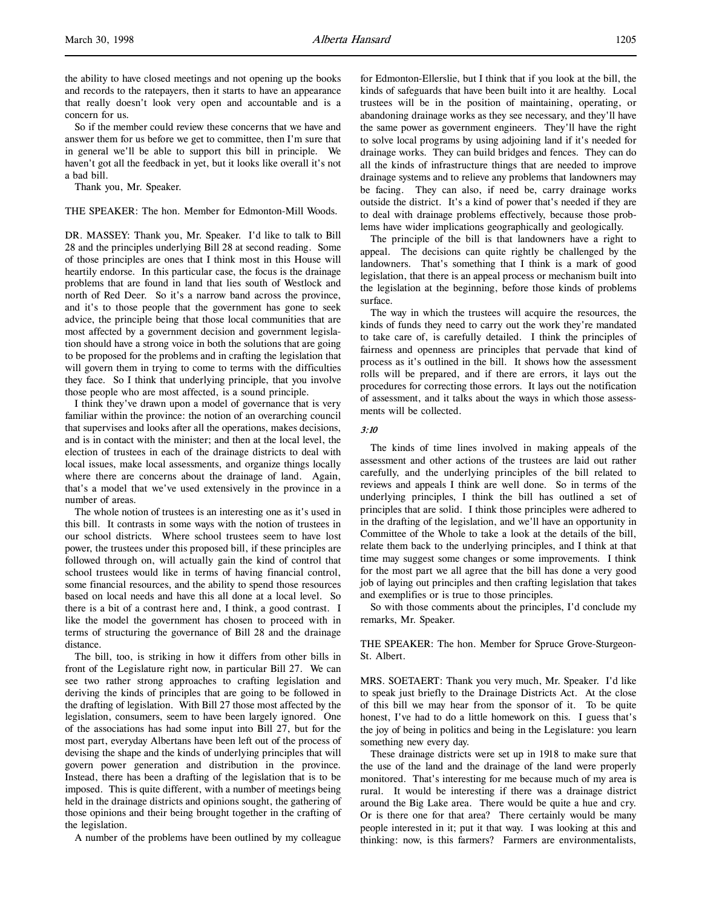the ability to have closed meetings and not opening up the books and records to the ratepayers, then it starts to have an appearance that really doesn't look very open and accountable and is a concern for us.

So if the member could review these concerns that we have and answer them for us before we get to committee, then I'm sure that in general we'll be able to support this bill in principle. We haven't got all the feedback in yet, but it looks like overall it's not a bad bill.

Thank you, Mr. Speaker.

#### THE SPEAKER: The hon. Member for Edmonton-Mill Woods.

DR. MASSEY: Thank you, Mr. Speaker. I'd like to talk to Bill 28 and the principles underlying Bill 28 at second reading. Some of those principles are ones that I think most in this House will heartily endorse. In this particular case, the focus is the drainage problems that are found in land that lies south of Westlock and north of Red Deer. So it's a narrow band across the province, and it's to those people that the government has gone to seek advice, the principle being that those local communities that are most affected by a government decision and government legislation should have a strong voice in both the solutions that are going to be proposed for the problems and in crafting the legislation that will govern them in trying to come to terms with the difficulties they face. So I think that underlying principle, that you involve those people who are most affected, is a sound principle.

I think they've drawn upon a model of governance that is very familiar within the province: the notion of an overarching council that supervises and looks after all the operations, makes decisions, and is in contact with the minister; and then at the local level, the election of trustees in each of the drainage districts to deal with local issues, make local assessments, and organize things locally where there are concerns about the drainage of land. Again, that's a model that we've used extensively in the province in a number of areas.

The whole notion of trustees is an interesting one as it's used in this bill. It contrasts in some ways with the notion of trustees in our school districts. Where school trustees seem to have lost power, the trustees under this proposed bill, if these principles are followed through on, will actually gain the kind of control that school trustees would like in terms of having financial control, some financial resources, and the ability to spend those resources based on local needs and have this all done at a local level. So there is a bit of a contrast here and, I think, a good contrast. I like the model the government has chosen to proceed with in terms of structuring the governance of Bill 28 and the drainage distance.

The bill, too, is striking in how it differs from other bills in front of the Legislature right now, in particular Bill 27. We can see two rather strong approaches to crafting legislation and deriving the kinds of principles that are going to be followed in the drafting of legislation. With Bill 27 those most affected by the legislation, consumers, seem to have been largely ignored. One of the associations has had some input into Bill 27, but for the most part, everyday Albertans have been left out of the process of devising the shape and the kinds of underlying principles that will govern power generation and distribution in the province. Instead, there has been a drafting of the legislation that is to be imposed. This is quite different, with a number of meetings being held in the drainage districts and opinions sought, the gathering of those opinions and their being brought together in the crafting of the legislation.

A number of the problems have been outlined by my colleague

for Edmonton-Ellerslie, but I think that if you look at the bill, the kinds of safeguards that have been built into it are healthy. Local trustees will be in the position of maintaining, operating, or abandoning drainage works as they see necessary, and they'll have the same power as government engineers. They'll have the right to solve local programs by using adjoining land if it's needed for drainage works. They can build bridges and fences. They can do all the kinds of infrastructure things that are needed to improve drainage systems and to relieve any problems that landowners may be facing. They can also, if need be, carry drainage works outside the district. It's a kind of power that's needed if they are to deal with drainage problems effectively, because those problems have wider implications geographically and geologically.

The principle of the bill is that landowners have a right to appeal. The decisions can quite rightly be challenged by the landowners. That's something that I think is a mark of good legislation, that there is an appeal process or mechanism built into the legislation at the beginning, before those kinds of problems surface.

The way in which the trustees will acquire the resources, the kinds of funds they need to carry out the work they're mandated to take care of, is carefully detailed. I think the principles of fairness and openness are principles that pervade that kind of process as it's outlined in the bill. It shows how the assessment rolls will be prepared, and if there are errors, it lays out the procedures for correcting those errors. It lays out the notification of assessment, and it talks about the ways in which those assessments will be collected.

#### 3:10

The kinds of time lines involved in making appeals of the assessment and other actions of the trustees are laid out rather carefully, and the underlying principles of the bill related to reviews and appeals I think are well done. So in terms of the underlying principles, I think the bill has outlined a set of principles that are solid. I think those principles were adhered to in the drafting of the legislation, and we'll have an opportunity in Committee of the Whole to take a look at the details of the bill, relate them back to the underlying principles, and I think at that time may suggest some changes or some improvements. I think for the most part we all agree that the bill has done a very good job of laying out principles and then crafting legislation that takes and exemplifies or is true to those principles.

So with those comments about the principles, I'd conclude my remarks, Mr. Speaker.

THE SPEAKER: The hon. Member for Spruce Grove-Sturgeon-St. Albert.

MRS. SOETAERT: Thank you very much, Mr. Speaker. I'd like to speak just briefly to the Drainage Districts Act. At the close of this bill we may hear from the sponsor of it. To be quite honest, I've had to do a little homework on this. I guess that's the joy of being in politics and being in the Legislature: you learn something new every day.

These drainage districts were set up in 1918 to make sure that the use of the land and the drainage of the land were properly monitored. That's interesting for me because much of my area is rural. It would be interesting if there was a drainage district around the Big Lake area. There would be quite a hue and cry. Or is there one for that area? There certainly would be many people interested in it; put it that way. I was looking at this and thinking: now, is this farmers? Farmers are environmentalists,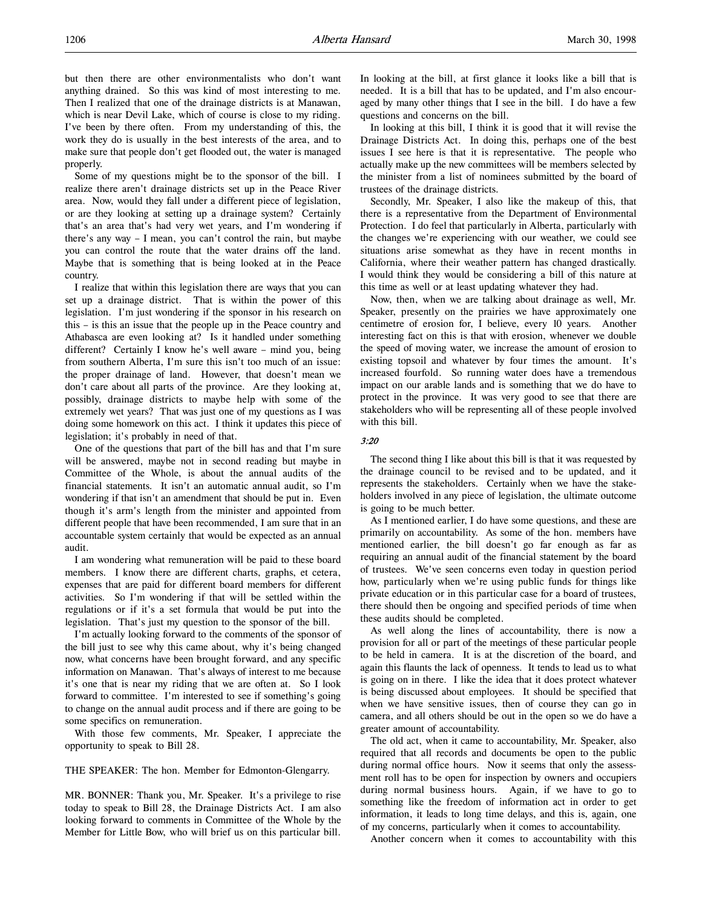Some of my questions might be to the sponsor of the bill. I realize there aren't drainage districts set up in the Peace River area. Now, would they fall under a different piece of legislation, or are they looking at setting up a drainage system? Certainly that's an area that's had very wet years, and I'm wondering if there's any way – I mean, you can't control the rain, but maybe you can control the route that the water drains off the land. Maybe that is something that is being looked at in the Peace country.

I realize that within this legislation there are ways that you can set up a drainage district. That is within the power of this legislation. I'm just wondering if the sponsor in his research on this – is this an issue that the people up in the Peace country and Athabasca are even looking at? Is it handled under something different? Certainly I know he's well aware – mind you, being from southern Alberta, I'm sure this isn't too much of an issue: the proper drainage of land. However, that doesn't mean we don't care about all parts of the province. Are they looking at, possibly, drainage districts to maybe help with some of the extremely wet years? That was just one of my questions as I was doing some homework on this act. I think it updates this piece of legislation; it's probably in need of that.

One of the questions that part of the bill has and that I'm sure will be answered, maybe not in second reading but maybe in Committee of the Whole, is about the annual audits of the financial statements. It isn't an automatic annual audit, so I'm wondering if that isn't an amendment that should be put in. Even though it's arm's length from the minister and appointed from different people that have been recommended, I am sure that in an accountable system certainly that would be expected as an annual audit.

I am wondering what remuneration will be paid to these board members. I know there are different charts, graphs, et cetera, expenses that are paid for different board members for different activities. So I'm wondering if that will be settled within the regulations or if it's a set formula that would be put into the legislation. That's just my question to the sponsor of the bill.

I'm actually looking forward to the comments of the sponsor of the bill just to see why this came about, why it's being changed now, what concerns have been brought forward, and any specific information on Manawan. That's always of interest to me because it's one that is near my riding that we are often at. So I look forward to committee. I'm interested to see if something's going to change on the annual audit process and if there are going to be some specifics on remuneration.

With those few comments, Mr. Speaker, I appreciate the opportunity to speak to Bill 28.

THE SPEAKER: The hon. Member for Edmonton-Glengarry.

MR. BONNER: Thank you, Mr. Speaker. It's a privilege to rise today to speak to Bill 28, the Drainage Districts Act. I am also looking forward to comments in Committee of the Whole by the Member for Little Bow, who will brief us on this particular bill.

In looking at the bill, at first glance it looks like a bill that is needed. It is a bill that has to be updated, and I'm also encouraged by many other things that I see in the bill. I do have a few questions and concerns on the bill.

In looking at this bill, I think it is good that it will revise the Drainage Districts Act. In doing this, perhaps one of the best issues I see here is that it is representative. The people who actually make up the new committees will be members selected by the minister from a list of nominees submitted by the board of trustees of the drainage districts.

Secondly, Mr. Speaker, I also like the makeup of this, that there is a representative from the Department of Environmental Protection. I do feel that particularly in Alberta, particularly with the changes we're experiencing with our weather, we could see situations arise somewhat as they have in recent months in California, where their weather pattern has changed drastically. I would think they would be considering a bill of this nature at this time as well or at least updating whatever they had.

Now, then, when we are talking about drainage as well, Mr. Speaker, presently on the prairies we have approximately one centimetre of erosion for, I believe, every 10 years. Another interesting fact on this is that with erosion, whenever we double the speed of moving water, we increase the amount of erosion to existing topsoil and whatever by four times the amount. It's increased fourfold. So running water does have a tremendous impact on our arable lands and is something that we do have to protect in the province. It was very good to see that there are stakeholders who will be representing all of these people involved with this hill

### 3:20

The second thing I like about this bill is that it was requested by the drainage council to be revised and to be updated, and it represents the stakeholders. Certainly when we have the stakeholders involved in any piece of legislation, the ultimate outcome is going to be much better.

As I mentioned earlier, I do have some questions, and these are primarily on accountability. As some of the hon. members have mentioned earlier, the bill doesn't go far enough as far as requiring an annual audit of the financial statement by the board of trustees. We've seen concerns even today in question period how, particularly when we're using public funds for things like private education or in this particular case for a board of trustees, there should then be ongoing and specified periods of time when these audits should be completed.

As well along the lines of accountability, there is now a provision for all or part of the meetings of these particular people to be held in camera. It is at the discretion of the board, and again this flaunts the lack of openness. It tends to lead us to what is going on in there. I like the idea that it does protect whatever is being discussed about employees. It should be specified that when we have sensitive issues, then of course they can go in camera, and all others should be out in the open so we do have a greater amount of accountability.

The old act, when it came to accountability, Mr. Speaker, also required that all records and documents be open to the public during normal office hours. Now it seems that only the assessment roll has to be open for inspection by owners and occupiers during normal business hours. Again, if we have to go to something like the freedom of information act in order to get information, it leads to long time delays, and this is, again, one of my concerns, particularly when it comes to accountability.

Another concern when it comes to accountability with this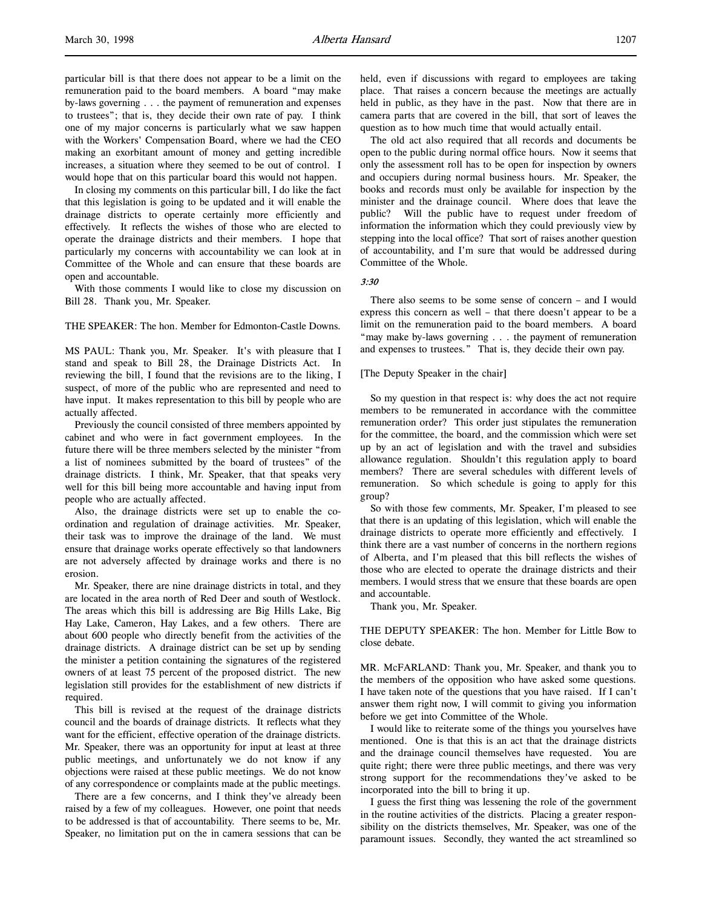particular bill is that there does not appear to be a limit on the remuneration paid to the board members. A board "may make by-laws governing . . . the payment of remuneration and expenses to trustees"; that is, they decide their own rate of pay. I think one of my major concerns is particularly what we saw happen with the Workers' Compensation Board, where we had the CEO making an exorbitant amount of money and getting incredible increases, a situation where they seemed to be out of control. I would hope that on this particular board this would not happen.

In closing my comments on this particular bill, I do like the fact that this legislation is going to be updated and it will enable the drainage districts to operate certainly more efficiently and effectively. It reflects the wishes of those who are elected to operate the drainage districts and their members. I hope that particularly my concerns with accountability we can look at in Committee of the Whole and can ensure that these boards are open and accountable.

With those comments I would like to close my discussion on Bill 28. Thank you, Mr. Speaker.

THE SPEAKER: The hon. Member for Edmonton-Castle Downs.

MS PAUL: Thank you, Mr. Speaker. It's with pleasure that I stand and speak to Bill 28, the Drainage Districts Act. In reviewing the bill, I found that the revisions are to the liking, I suspect, of more of the public who are represented and need to have input. It makes representation to this bill by people who are actually affected.

Previously the council consisted of three members appointed by cabinet and who were in fact government employees. In the future there will be three members selected by the minister "from a list of nominees submitted by the board of trustees" of the drainage districts. I think, Mr. Speaker, that that speaks very well for this bill being more accountable and having input from people who are actually affected.

Also, the drainage districts were set up to enable the coordination and regulation of drainage activities. Mr. Speaker, their task was to improve the drainage of the land. We must ensure that drainage works operate effectively so that landowners are not adversely affected by drainage works and there is no erosion.

Mr. Speaker, there are nine drainage districts in total, and they are located in the area north of Red Deer and south of Westlock. The areas which this bill is addressing are Big Hills Lake, Big Hay Lake, Cameron, Hay Lakes, and a few others. There are about 600 people who directly benefit from the activities of the drainage districts. A drainage district can be set up by sending the minister a petition containing the signatures of the registered owners of at least 75 percent of the proposed district. The new legislation still provides for the establishment of new districts if required.

This bill is revised at the request of the drainage districts council and the boards of drainage districts. It reflects what they want for the efficient, effective operation of the drainage districts. Mr. Speaker, there was an opportunity for input at least at three public meetings, and unfortunately we do not know if any objections were raised at these public meetings. We do not know of any correspondence or complaints made at the public meetings.

There are a few concerns, and I think they've already been raised by a few of my colleagues. However, one point that needs to be addressed is that of accountability. There seems to be, Mr. Speaker, no limitation put on the in camera sessions that can be

held, even if discussions with regard to employees are taking place. That raises a concern because the meetings are actually held in public, as they have in the past. Now that there are in camera parts that are covered in the bill, that sort of leaves the question as to how much time that would actually entail.

The old act also required that all records and documents be open to the public during normal office hours. Now it seems that only the assessment roll has to be open for inspection by owners and occupiers during normal business hours. Mr. Speaker, the books and records must only be available for inspection by the minister and the drainage council. Where does that leave the public? Will the public have to request under freedom of information the information which they could previously view by stepping into the local office? That sort of raises another question of accountability, and I'm sure that would be addressed during Committee of the Whole.

### 3:30

There also seems to be some sense of concern – and I would express this concern as well – that there doesn't appear to be a limit on the remuneration paid to the board members. A board "may make by-laws governing . . . the payment of remuneration and expenses to trustees." That is, they decide their own pay.

[The Deputy Speaker in the chair]

So my question in that respect is: why does the act not require members to be remunerated in accordance with the committee remuneration order? This order just stipulates the remuneration for the committee, the board, and the commission which were set up by an act of legislation and with the travel and subsidies allowance regulation. Shouldn't this regulation apply to board members? There are several schedules with different levels of remuneration. So which schedule is going to apply for this group?

So with those few comments, Mr. Speaker, I'm pleased to see that there is an updating of this legislation, which will enable the drainage districts to operate more efficiently and effectively. I think there are a vast number of concerns in the northern regions of Alberta, and I'm pleased that this bill reflects the wishes of those who are elected to operate the drainage districts and their members. I would stress that we ensure that these boards are open and accountable.

Thank you, Mr. Speaker.

THE DEPUTY SPEAKER: The hon. Member for Little Bow to close debate.

MR. McFARLAND: Thank you, Mr. Speaker, and thank you to the members of the opposition who have asked some questions. I have taken note of the questions that you have raised. If I can't answer them right now, I will commit to giving you information before we get into Committee of the Whole.

I would like to reiterate some of the things you yourselves have mentioned. One is that this is an act that the drainage districts and the drainage council themselves have requested. You are quite right; there were three public meetings, and there was very strong support for the recommendations they've asked to be incorporated into the bill to bring it up.

I guess the first thing was lessening the role of the government in the routine activities of the districts. Placing a greater responsibility on the districts themselves, Mr. Speaker, was one of the paramount issues. Secondly, they wanted the act streamlined so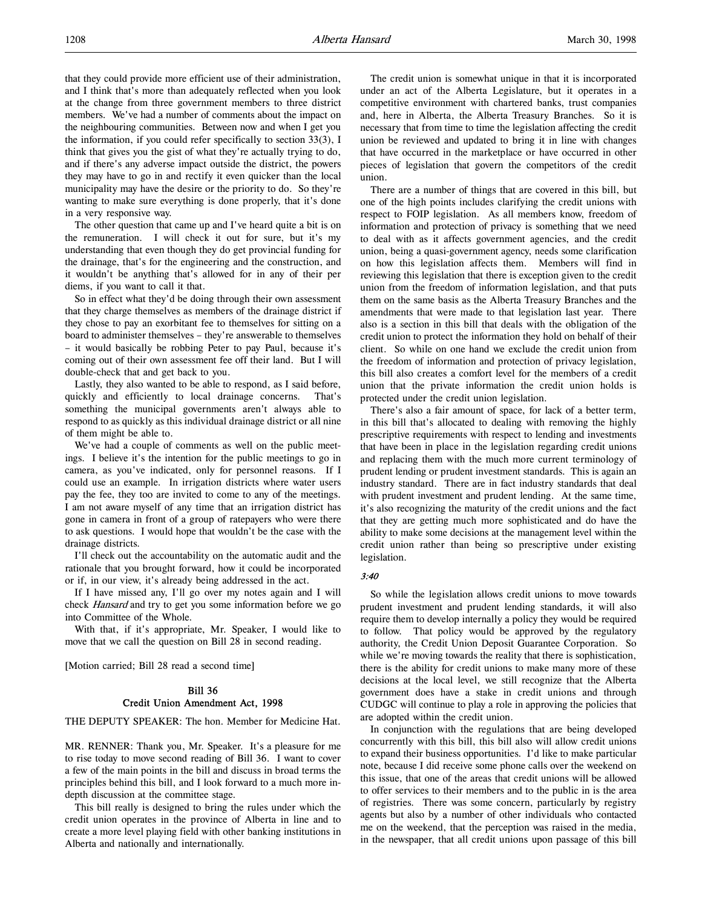that they could provide more efficient use of their administration, and I think that's more than adequately reflected when you look at the change from three government members to three district members. We've had a number of comments about the impact on the neighbouring communities. Between now and when I get you the information, if you could refer specifically to section 33(3), I think that gives you the gist of what they're actually trying to do, and if there's any adverse impact outside the district, the powers they may have to go in and rectify it even quicker than the local municipality may have the desire or the priority to do. So they're wanting to make sure everything is done properly, that it's done in a very responsive way.

The other question that came up and I've heard quite a bit is on the remuneration. I will check it out for sure, but it's my understanding that even though they do get provincial funding for the drainage, that's for the engineering and the construction, and it wouldn't be anything that's allowed for in any of their per diems, if you want to call it that.

So in effect what they'd be doing through their own assessment that they charge themselves as members of the drainage district if they chose to pay an exorbitant fee to themselves for sitting on a board to administer themselves – they're answerable to themselves – it would basically be robbing Peter to pay Paul, because it's coming out of their own assessment fee off their land. But I will double-check that and get back to you.

Lastly, they also wanted to be able to respond, as I said before, quickly and efficiently to local drainage concerns. That's something the municipal governments aren't always able to respond to as quickly as this individual drainage district or all nine of them might be able to.

We've had a couple of comments as well on the public meetings. I believe it's the intention for the public meetings to go in camera, as you've indicated, only for personnel reasons. If I could use an example. In irrigation districts where water users pay the fee, they too are invited to come to any of the meetings. I am not aware myself of any time that an irrigation district has gone in camera in front of a group of ratepayers who were there to ask questions. I would hope that wouldn't be the case with the drainage districts.

I'll check out the accountability on the automatic audit and the rationale that you brought forward, how it could be incorporated or if, in our view, it's already being addressed in the act.

If I have missed any, I'll go over my notes again and I will check Hansard and try to get you some information before we go into Committee of the Whole.

With that, if it's appropriate, Mr. Speaker, I would like to move that we call the question on Bill 28 in second reading.

[Motion carried; Bill 28 read a second time]

#### Bill 36 Credit Union Amendment Act, 1998

THE DEPUTY SPEAKER: The hon. Member for Medicine Hat.

MR. RENNER: Thank you, Mr. Speaker. It's a pleasure for me to rise today to move second reading of Bill 36. I want to cover a few of the main points in the bill and discuss in broad terms the principles behind this bill, and I look forward to a much more indepth discussion at the committee stage.

This bill really is designed to bring the rules under which the credit union operates in the province of Alberta in line and to create a more level playing field with other banking institutions in Alberta and nationally and internationally.

The credit union is somewhat unique in that it is incorporated under an act of the Alberta Legislature, but it operates in a competitive environment with chartered banks, trust companies and, here in Alberta, the Alberta Treasury Branches. So it is necessary that from time to time the legislation affecting the credit union be reviewed and updated to bring it in line with changes that have occurred in the marketplace or have occurred in other pieces of legislation that govern the competitors of the credit union.

There are a number of things that are covered in this bill, but one of the high points includes clarifying the credit unions with respect to FOIP legislation. As all members know, freedom of information and protection of privacy is something that we need to deal with as it affects government agencies, and the credit union, being a quasi-government agency, needs some clarification on how this legislation affects them. Members will find in reviewing this legislation that there is exception given to the credit union from the freedom of information legislation, and that puts them on the same basis as the Alberta Treasury Branches and the amendments that were made to that legislation last year. There also is a section in this bill that deals with the obligation of the credit union to protect the information they hold on behalf of their client. So while on one hand we exclude the credit union from the freedom of information and protection of privacy legislation, this bill also creates a comfort level for the members of a credit union that the private information the credit union holds is protected under the credit union legislation.

There's also a fair amount of space, for lack of a better term, in this bill that's allocated to dealing with removing the highly prescriptive requirements with respect to lending and investments that have been in place in the legislation regarding credit unions and replacing them with the much more current terminology of prudent lending or prudent investment standards. This is again an industry standard. There are in fact industry standards that deal with prudent investment and prudent lending. At the same time, it's also recognizing the maturity of the credit unions and the fact that they are getting much more sophisticated and do have the ability to make some decisions at the management level within the credit union rather than being so prescriptive under existing legislation.

#### 3:40

So while the legislation allows credit unions to move towards prudent investment and prudent lending standards, it will also require them to develop internally a policy they would be required to follow. That policy would be approved by the regulatory authority, the Credit Union Deposit Guarantee Corporation. So while we're moving towards the reality that there is sophistication, there is the ability for credit unions to make many more of these decisions at the local level, we still recognize that the Alberta government does have a stake in credit unions and through CUDGC will continue to play a role in approving the policies that are adopted within the credit union.

In conjunction with the regulations that are being developed concurrently with this bill, this bill also will allow credit unions to expand their business opportunities. I'd like to make particular note, because I did receive some phone calls over the weekend on this issue, that one of the areas that credit unions will be allowed to offer services to their members and to the public in is the area of registries. There was some concern, particularly by registry agents but also by a number of other individuals who contacted me on the weekend, that the perception was raised in the media, in the newspaper, that all credit unions upon passage of this bill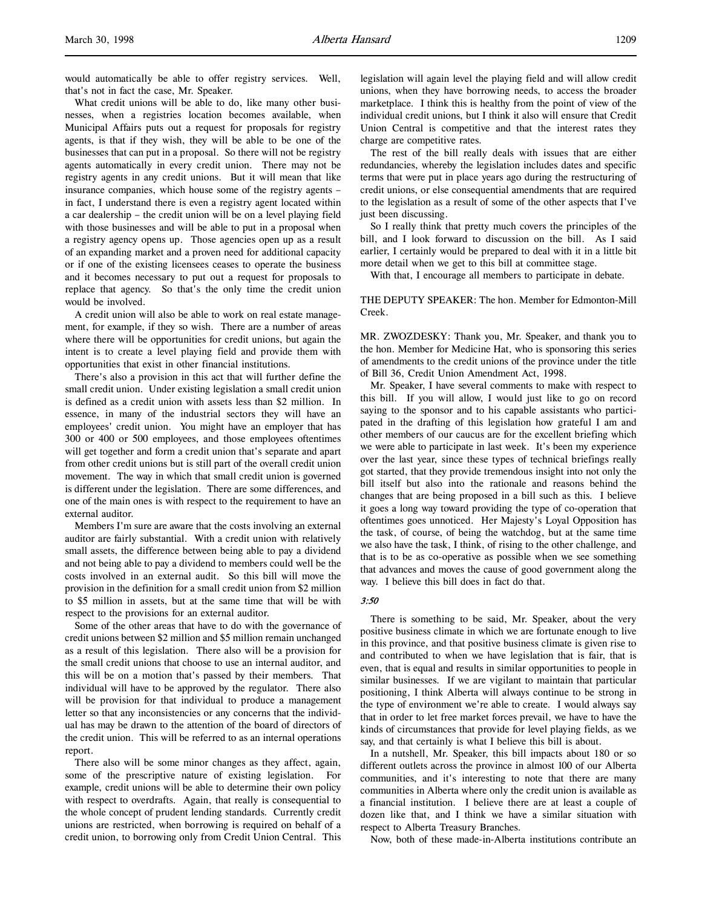would automatically be able to offer registry services. Well, that's not in fact the case, Mr. Speaker.

What credit unions will be able to do, like many other businesses, when a registries location becomes available, when Municipal Affairs puts out a request for proposals for registry agents, is that if they wish, they will be able to be one of the businesses that can put in a proposal. So there will not be registry agents automatically in every credit union. There may not be registry agents in any credit unions. But it will mean that like insurance companies, which house some of the registry agents – in fact, I understand there is even a registry agent located within a car dealership – the credit union will be on a level playing field with those businesses and will be able to put in a proposal when a registry agency opens up. Those agencies open up as a result of an expanding market and a proven need for additional capacity or if one of the existing licensees ceases to operate the business and it becomes necessary to put out a request for proposals to replace that agency. So that's the only time the credit union would be involved.

A credit union will also be able to work on real estate management, for example, if they so wish. There are a number of areas where there will be opportunities for credit unions, but again the intent is to create a level playing field and provide them with opportunities that exist in other financial institutions.

There's also a provision in this act that will further define the small credit union. Under existing legislation a small credit union is defined as a credit union with assets less than \$2 million. In essence, in many of the industrial sectors they will have an employees' credit union. You might have an employer that has 300 or 400 or 500 employees, and those employees oftentimes will get together and form a credit union that's separate and apart from other credit unions but is still part of the overall credit union movement. The way in which that small credit union is governed is different under the legislation. There are some differences, and one of the main ones is with respect to the requirement to have an external auditor.

Members I'm sure are aware that the costs involving an external auditor are fairly substantial. With a credit union with relatively small assets, the difference between being able to pay a dividend and not being able to pay a dividend to members could well be the costs involved in an external audit. So this bill will move the provision in the definition for a small credit union from \$2 million to \$5 million in assets, but at the same time that will be with respect to the provisions for an external auditor.

Some of the other areas that have to do with the governance of credit unions between \$2 million and \$5 million remain unchanged as a result of this legislation. There also will be a provision for the small credit unions that choose to use an internal auditor, and this will be on a motion that's passed by their members. That individual will have to be approved by the regulator. There also will be provision for that individual to produce a management letter so that any inconsistencies or any concerns that the individual has may be drawn to the attention of the board of directors of the credit union. This will be referred to as an internal operations report.

There also will be some minor changes as they affect, again, some of the prescriptive nature of existing legislation. For example, credit unions will be able to determine their own policy with respect to overdrafts. Again, that really is consequential to the whole concept of prudent lending standards. Currently credit unions are restricted, when borrowing is required on behalf of a credit union, to borrowing only from Credit Union Central. This

legislation will again level the playing field and will allow credit unions, when they have borrowing needs, to access the broader marketplace. I think this is healthy from the point of view of the individual credit unions, but I think it also will ensure that Credit Union Central is competitive and that the interest rates they charge are competitive rates.

The rest of the bill really deals with issues that are either redundancies, whereby the legislation includes dates and specific terms that were put in place years ago during the restructuring of credit unions, or else consequential amendments that are required to the legislation as a result of some of the other aspects that I've just been discussing.

So I really think that pretty much covers the principles of the bill, and I look forward to discussion on the bill. As I said earlier, I certainly would be prepared to deal with it in a little bit more detail when we get to this bill at committee stage.

With that, I encourage all members to participate in debate.

#### THE DEPUTY SPEAKER: The hon. Member for Edmonton-Mill Creek.

MR. ZWOZDESKY: Thank you, Mr. Speaker, and thank you to the hon. Member for Medicine Hat, who is sponsoring this series of amendments to the credit unions of the province under the title of Bill 36, Credit Union Amendment Act, 1998.

Mr. Speaker, I have several comments to make with respect to this bill. If you will allow, I would just like to go on record saying to the sponsor and to his capable assistants who participated in the drafting of this legislation how grateful I am and other members of our caucus are for the excellent briefing which we were able to participate in last week. It's been my experience over the last year, since these types of technical briefings really got started, that they provide tremendous insight into not only the bill itself but also into the rationale and reasons behind the changes that are being proposed in a bill such as this. I believe it goes a long way toward providing the type of co-operation that oftentimes goes unnoticed. Her Majesty's Loyal Opposition has the task, of course, of being the watchdog, but at the same time we also have the task, I think, of rising to the other challenge, and that is to be as co-operative as possible when we see something that advances and moves the cause of good government along the way. I believe this bill does in fact do that.

#### 3:50

There is something to be said, Mr. Speaker, about the very positive business climate in which we are fortunate enough to live in this province, and that positive business climate is given rise to and contributed to when we have legislation that is fair, that is even, that is equal and results in similar opportunities to people in similar businesses. If we are vigilant to maintain that particular positioning, I think Alberta will always continue to be strong in the type of environment we're able to create. I would always say that in order to let free market forces prevail, we have to have the kinds of circumstances that provide for level playing fields, as we say, and that certainly is what I believe this bill is about.

In a nutshell, Mr. Speaker, this bill impacts about 180 or so different outlets across the province in almost 100 of our Alberta communities, and it's interesting to note that there are many communities in Alberta where only the credit union is available as a financial institution. I believe there are at least a couple of dozen like that, and I think we have a similar situation with respect to Alberta Treasury Branches.

Now, both of these made-in-Alberta institutions contribute an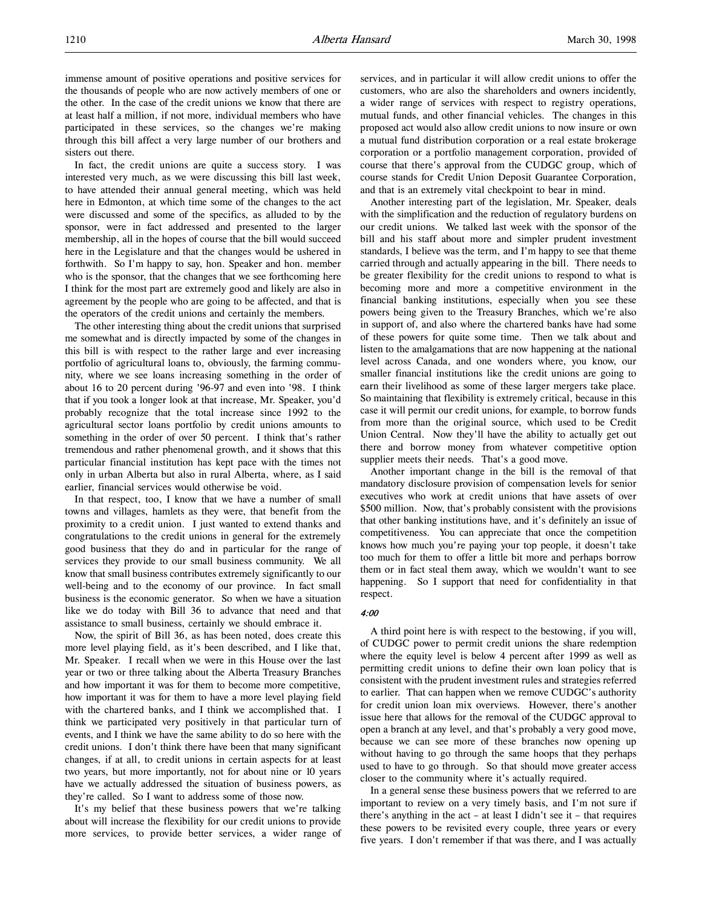immense amount of positive operations and positive services for the thousands of people who are now actively members of one or the other. In the case of the credit unions we know that there are at least half a million, if not more, individual members who have participated in these services, so the changes we're making through this bill affect a very large number of our brothers and sisters out there.

In fact, the credit unions are quite a success story. I was interested very much, as we were discussing this bill last week, to have attended their annual general meeting, which was held here in Edmonton, at which time some of the changes to the act were discussed and some of the specifics, as alluded to by the sponsor, were in fact addressed and presented to the larger membership, all in the hopes of course that the bill would succeed here in the Legislature and that the changes would be ushered in forthwith. So I'm happy to say, hon. Speaker and hon. member who is the sponsor, that the changes that we see forthcoming here I think for the most part are extremely good and likely are also in agreement by the people who are going to be affected, and that is the operators of the credit unions and certainly the members.

The other interesting thing about the credit unions that surprised me somewhat and is directly impacted by some of the changes in this bill is with respect to the rather large and ever increasing portfolio of agricultural loans to, obviously, the farming community, where we see loans increasing something in the order of about 16 to 20 percent during '96-97 and even into '98. I think that if you took a longer look at that increase, Mr. Speaker, you'd probably recognize that the total increase since 1992 to the agricultural sector loans portfolio by credit unions amounts to something in the order of over 50 percent. I think that's rather tremendous and rather phenomenal growth, and it shows that this particular financial institution has kept pace with the times not only in urban Alberta but also in rural Alberta, where, as I said earlier, financial services would otherwise be void.

In that respect, too, I know that we have a number of small towns and villages, hamlets as they were, that benefit from the proximity to a credit union. I just wanted to extend thanks and congratulations to the credit unions in general for the extremely good business that they do and in particular for the range of services they provide to our small business community. We all know that small business contributes extremely significantly to our well-being and to the economy of our province. In fact small business is the economic generator. So when we have a situation like we do today with Bill 36 to advance that need and that assistance to small business, certainly we should embrace it.

Now, the spirit of Bill 36, as has been noted, does create this more level playing field, as it's been described, and I like that, Mr. Speaker. I recall when we were in this House over the last year or two or three talking about the Alberta Treasury Branches and how important it was for them to become more competitive, how important it was for them to have a more level playing field with the chartered banks, and I think we accomplished that. I think we participated very positively in that particular turn of events, and I think we have the same ability to do so here with the credit unions. I don't think there have been that many significant changes, if at all, to credit unions in certain aspects for at least two years, but more importantly, not for about nine or 10 years have we actually addressed the situation of business powers, as they're called. So I want to address some of those now.

It's my belief that these business powers that we're talking about will increase the flexibility for our credit unions to provide more services, to provide better services, a wider range of services, and in particular it will allow credit unions to offer the customers, who are also the shareholders and owners incidently, a wider range of services with respect to registry operations, mutual funds, and other financial vehicles. The changes in this proposed act would also allow credit unions to now insure or own a mutual fund distribution corporation or a real estate brokerage corporation or a portfolio management corporation, provided of course that there's approval from the CUDGC group, which of course stands for Credit Union Deposit Guarantee Corporation, and that is an extremely vital checkpoint to bear in mind.

Another interesting part of the legislation, Mr. Speaker, deals with the simplification and the reduction of regulatory burdens on our credit unions. We talked last week with the sponsor of the bill and his staff about more and simpler prudent investment standards, I believe was the term, and I'm happy to see that theme carried through and actually appearing in the bill. There needs to be greater flexibility for the credit unions to respond to what is becoming more and more a competitive environment in the financial banking institutions, especially when you see these powers being given to the Treasury Branches, which we're also in support of, and also where the chartered banks have had some of these powers for quite some time. Then we talk about and listen to the amalgamations that are now happening at the national level across Canada, and one wonders where, you know, our smaller financial institutions like the credit unions are going to earn their livelihood as some of these larger mergers take place. So maintaining that flexibility is extremely critical, because in this case it will permit our credit unions, for example, to borrow funds from more than the original source, which used to be Credit Union Central. Now they'll have the ability to actually get out there and borrow money from whatever competitive option supplier meets their needs. That's a good move.

Another important change in the bill is the removal of that mandatory disclosure provision of compensation levels for senior executives who work at credit unions that have assets of over \$500 million. Now, that's probably consistent with the provisions that other banking institutions have, and it's definitely an issue of competitiveness. You can appreciate that once the competition knows how much you're paying your top people, it doesn't take too much for them to offer a little bit more and perhaps borrow them or in fact steal them away, which we wouldn't want to see happening. So I support that need for confidentiality in that respect.

#### 4:00

A third point here is with respect to the bestowing, if you will, of CUDGC power to permit credit unions the share redemption where the equity level is below 4 percent after 1999 as well as permitting credit unions to define their own loan policy that is consistent with the prudent investment rules and strategies referred to earlier. That can happen when we remove CUDGC's authority for credit union loan mix overviews. However, there's another issue here that allows for the removal of the CUDGC approval to open a branch at any level, and that's probably a very good move, because we can see more of these branches now opening up without having to go through the same hoops that they perhaps used to have to go through. So that should move greater access closer to the community where it's actually required.

In a general sense these business powers that we referred to are important to review on a very timely basis, and I'm not sure if there's anything in the act – at least I didn't see it – that requires these powers to be revisited every couple, three years or every five years. I don't remember if that was there, and I was actually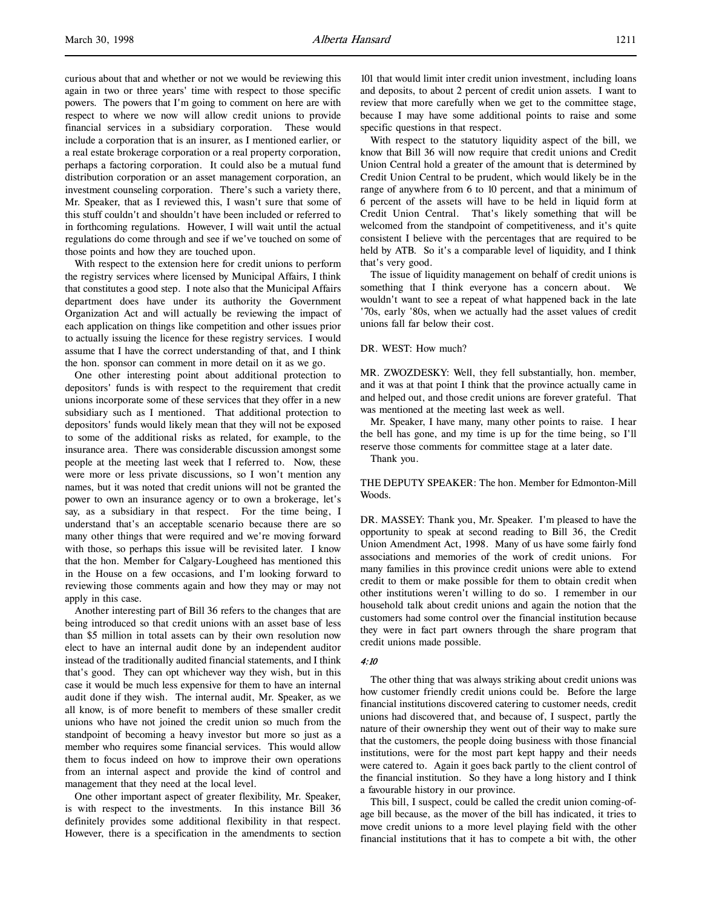curious about that and whether or not we would be reviewing this again in two or three years' time with respect to those specific powers. The powers that I'm going to comment on here are with respect to where we now will allow credit unions to provide financial services in a subsidiary corporation. These would include a corporation that is an insurer, as I mentioned earlier, or a real estate brokerage corporation or a real property corporation, perhaps a factoring corporation. It could also be a mutual fund distribution corporation or an asset management corporation, an investment counseling corporation. There's such a variety there, Mr. Speaker, that as I reviewed this, I wasn't sure that some of this stuff couldn't and shouldn't have been included or referred to in forthcoming regulations. However, I will wait until the actual regulations do come through and see if we've touched on some of those points and how they are touched upon.

With respect to the extension here for credit unions to perform the registry services where licensed by Municipal Affairs, I think that constitutes a good step. I note also that the Municipal Affairs department does have under its authority the Government Organization Act and will actually be reviewing the impact of each application on things like competition and other issues prior to actually issuing the licence for these registry services. I would assume that I have the correct understanding of that, and I think the hon. sponsor can comment in more detail on it as we go.

One other interesting point about additional protection to depositors' funds is with respect to the requirement that credit unions incorporate some of these services that they offer in a new subsidiary such as I mentioned. That additional protection to depositors' funds would likely mean that they will not be exposed to some of the additional risks as related, for example, to the insurance area. There was considerable discussion amongst some people at the meeting last week that I referred to. Now, these were more or less private discussions, so I won't mention any names, but it was noted that credit unions will not be granted the power to own an insurance agency or to own a brokerage, let's say, as a subsidiary in that respect. For the time being, I understand that's an acceptable scenario because there are so many other things that were required and we're moving forward with those, so perhaps this issue will be revisited later. I know that the hon. Member for Calgary-Lougheed has mentioned this in the House on a few occasions, and I'm looking forward to reviewing those comments again and how they may or may not apply in this case.

Another interesting part of Bill 36 refers to the changes that are being introduced so that credit unions with an asset base of less than \$5 million in total assets can by their own resolution now elect to have an internal audit done by an independent auditor instead of the traditionally audited financial statements, and I think that's good. They can opt whichever way they wish, but in this case it would be much less expensive for them to have an internal audit done if they wish. The internal audit, Mr. Speaker, as we all know, is of more benefit to members of these smaller credit unions who have not joined the credit union so much from the standpoint of becoming a heavy investor but more so just as a member who requires some financial services. This would allow them to focus indeed on how to improve their own operations from an internal aspect and provide the kind of control and management that they need at the local level.

One other important aspect of greater flexibility, Mr. Speaker, is with respect to the investments. In this instance Bill 36 definitely provides some additional flexibility in that respect. However, there is a specification in the amendments to section 101 that would limit inter credit union investment, including loans and deposits, to about 2 percent of credit union assets. I want to review that more carefully when we get to the committee stage, because I may have some additional points to raise and some specific questions in that respect.

With respect to the statutory liquidity aspect of the bill, we know that Bill 36 will now require that credit unions and Credit Union Central hold a greater of the amount that is determined by Credit Union Central to be prudent, which would likely be in the range of anywhere from 6 to 10 percent, and that a minimum of 6 percent of the assets will have to be held in liquid form at Credit Union Central. That's likely something that will be welcomed from the standpoint of competitiveness, and it's quite consistent I believe with the percentages that are required to be held by ATB. So it's a comparable level of liquidity, and I think that's very good.

The issue of liquidity management on behalf of credit unions is something that I think everyone has a concern about. wouldn't want to see a repeat of what happened back in the late '70s, early '80s, when we actually had the asset values of credit unions fall far below their cost.

### DR. WEST: How much?

MR. ZWOZDESKY: Well, they fell substantially, hon. member, and it was at that point I think that the province actually came in and helped out, and those credit unions are forever grateful. That was mentioned at the meeting last week as well.

Mr. Speaker, I have many, many other points to raise. I hear the bell has gone, and my time is up for the time being, so I'll reserve those comments for committee stage at a later date.

Thank you.

THE DEPUTY SPEAKER: The hon. Member for Edmonton-Mill Woods.

DR. MASSEY: Thank you, Mr. Speaker. I'm pleased to have the opportunity to speak at second reading to Bill 36, the Credit Union Amendment Act, 1998. Many of us have some fairly fond associations and memories of the work of credit unions. For many families in this province credit unions were able to extend credit to them or make possible for them to obtain credit when other institutions weren't willing to do so. I remember in our household talk about credit unions and again the notion that the customers had some control over the financial institution because they were in fact part owners through the share program that credit unions made possible.

### 4:10

The other thing that was always striking about credit unions was how customer friendly credit unions could be. Before the large financial institutions discovered catering to customer needs, credit unions had discovered that, and because of, I suspect, partly the nature of their ownership they went out of their way to make sure that the customers, the people doing business with those financial institutions, were for the most part kept happy and their needs were catered to. Again it goes back partly to the client control of the financial institution. So they have a long history and I think a favourable history in our province.

This bill, I suspect, could be called the credit union coming-ofage bill because, as the mover of the bill has indicated, it tries to move credit unions to a more level playing field with the other financial institutions that it has to compete a bit with, the other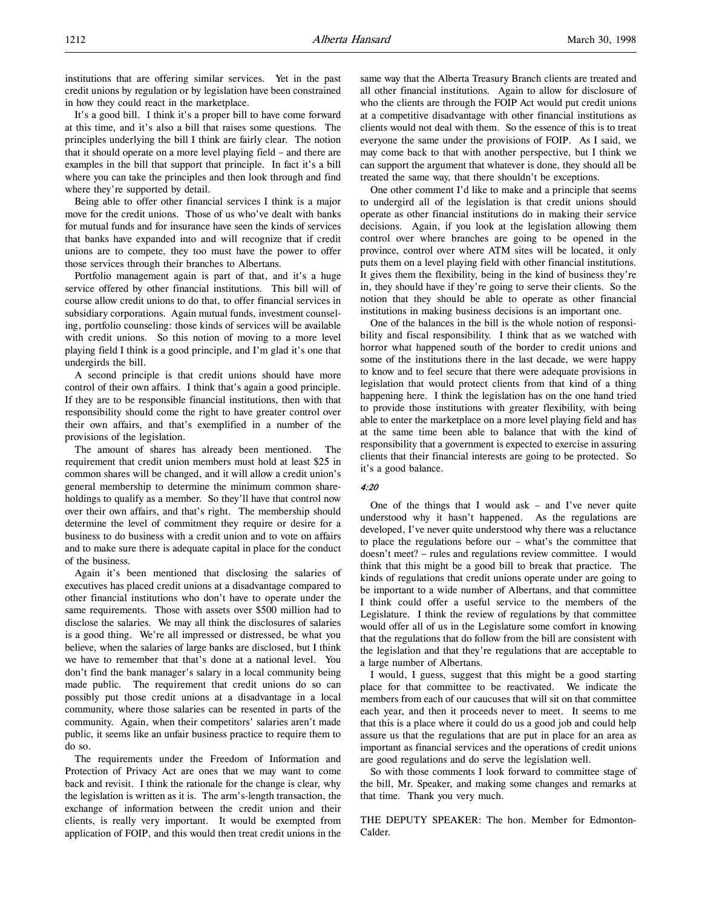institutions that are offering similar services. Yet in the past credit unions by regulation or by legislation have been constrained in how they could react in the marketplace.

It's a good bill. I think it's a proper bill to have come forward at this time, and it's also a bill that raises some questions. The principles underlying the bill I think are fairly clear. The notion that it should operate on a more level playing field – and there are examples in the bill that support that principle. In fact it's a bill where you can take the principles and then look through and find where they're supported by detail.

Being able to offer other financial services I think is a major move for the credit unions. Those of us who've dealt with banks for mutual funds and for insurance have seen the kinds of services that banks have expanded into and will recognize that if credit unions are to compete, they too must have the power to offer those services through their branches to Albertans.

Portfolio management again is part of that, and it's a huge service offered by other financial institutions. This bill will of course allow credit unions to do that, to offer financial services in subsidiary corporations. Again mutual funds, investment counseling, portfolio counseling: those kinds of services will be available with credit unions. So this notion of moving to a more level playing field I think is a good principle, and I'm glad it's one that undergirds the bill.

A second principle is that credit unions should have more control of their own affairs. I think that's again a good principle. If they are to be responsible financial institutions, then with that responsibility should come the right to have greater control over their own affairs, and that's exemplified in a number of the provisions of the legislation.

The amount of shares has already been mentioned. The requirement that credit union members must hold at least \$25 in common shares will be changed, and it will allow a credit union's general membership to determine the minimum common shareholdings to qualify as a member. So they'll have that control now over their own affairs, and that's right. The membership should determine the level of commitment they require or desire for a business to do business with a credit union and to vote on affairs and to make sure there is adequate capital in place for the conduct of the business.

Again it's been mentioned that disclosing the salaries of executives has placed credit unions at a disadvantage compared to other financial institutions who don't have to operate under the same requirements. Those with assets over \$500 million had to disclose the salaries. We may all think the disclosures of salaries is a good thing. We're all impressed or distressed, be what you believe, when the salaries of large banks are disclosed, but I think we have to remember that that's done at a national level. You don't find the bank manager's salary in a local community being made public. The requirement that credit unions do so can possibly put those credit unions at a disadvantage in a local community, where those salaries can be resented in parts of the community. Again, when their competitors' salaries aren't made public, it seems like an unfair business practice to require them to do so.

The requirements under the Freedom of Information and Protection of Privacy Act are ones that we may want to come back and revisit. I think the rationale for the change is clear, why the legislation is written as it is. The arm's-length transaction, the exchange of information between the credit union and their clients, is really very important. It would be exempted from application of FOIP, and this would then treat credit unions in the

same way that the Alberta Treasury Branch clients are treated and all other financial institutions. Again to allow for disclosure of who the clients are through the FOIP Act would put credit unions at a competitive disadvantage with other financial institutions as clients would not deal with them. So the essence of this is to treat everyone the same under the provisions of FOIP. As I said, we may come back to that with another perspective, but I think we can support the argument that whatever is done, they should all be treated the same way, that there shouldn't be exceptions.

One other comment I'd like to make and a principle that seems to undergird all of the legislation is that credit unions should operate as other financial institutions do in making their service decisions. Again, if you look at the legislation allowing them control over where branches are going to be opened in the province, control over where ATM sites will be located, it only puts them on a level playing field with other financial institutions. It gives them the flexibility, being in the kind of business they're in, they should have if they're going to serve their clients. So the notion that they should be able to operate as other financial institutions in making business decisions is an important one.

One of the balances in the bill is the whole notion of responsibility and fiscal responsibility. I think that as we watched with horror what happened south of the border to credit unions and some of the institutions there in the last decade, we were happy to know and to feel secure that there were adequate provisions in legislation that would protect clients from that kind of a thing happening here. I think the legislation has on the one hand tried to provide those institutions with greater flexibility, with being able to enter the marketplace on a more level playing field and has at the same time been able to balance that with the kind of responsibility that a government is expected to exercise in assuring clients that their financial interests are going to be protected. So it's a good balance.

#### 4:20

One of the things that I would ask – and I've never quite understood why it hasn't happened. As the regulations are developed, I've never quite understood why there was a reluctance to place the regulations before our – what's the committee that doesn't meet? – rules and regulations review committee. I would think that this might be a good bill to break that practice. The kinds of regulations that credit unions operate under are going to be important to a wide number of Albertans, and that committee I think could offer a useful service to the members of the Legislature. I think the review of regulations by that committee would offer all of us in the Legislature some comfort in knowing that the regulations that do follow from the bill are consistent with the legislation and that they're regulations that are acceptable to a large number of Albertans.

I would, I guess, suggest that this might be a good starting place for that committee to be reactivated. We indicate the members from each of our caucuses that will sit on that committee each year, and then it proceeds never to meet. It seems to me that this is a place where it could do us a good job and could help assure us that the regulations that are put in place for an area as important as financial services and the operations of credit unions are good regulations and do serve the legislation well.

So with those comments I look forward to committee stage of the bill, Mr. Speaker, and making some changes and remarks at that time. Thank you very much.

THE DEPUTY SPEAKER: The hon. Member for Edmonton-Calder.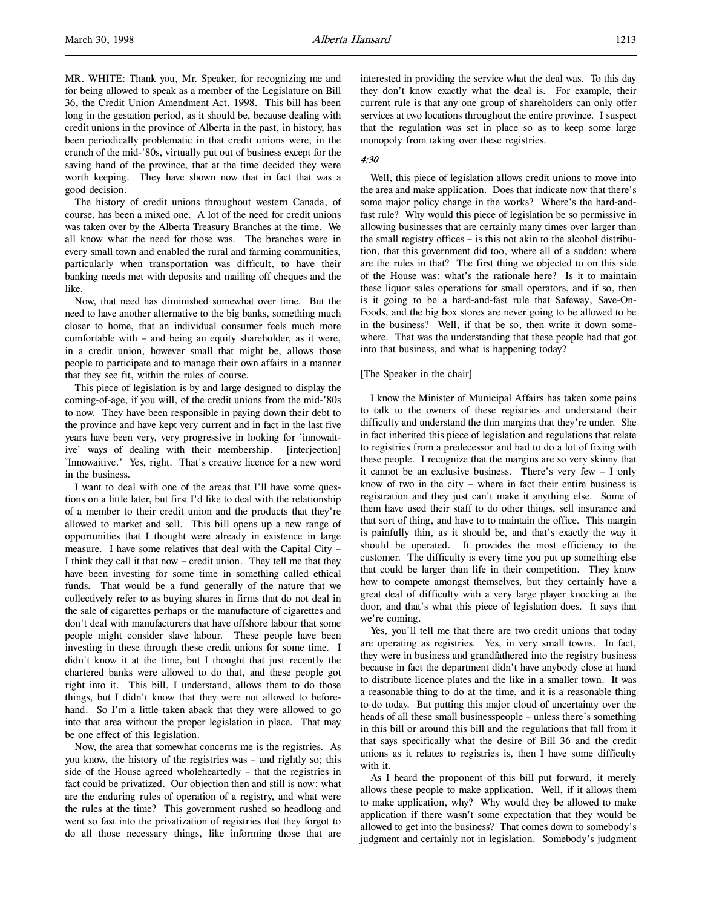MR. WHITE: Thank you, Mr. Speaker, for recognizing me and for being allowed to speak as a member of the Legislature on Bill 36, the Credit Union Amendment Act, 1998. This bill has been long in the gestation period, as it should be, because dealing with credit unions in the province of Alberta in the past, in history, has been periodically problematic in that credit unions were, in the crunch of the mid-'80s, virtually put out of business except for the saving hand of the province, that at the time decided they were worth keeping. They have shown now that in fact that was a good decision.

The history of credit unions throughout western Canada, of course, has been a mixed one. A lot of the need for credit unions was taken over by the Alberta Treasury Branches at the time. We all know what the need for those was. The branches were in every small town and enabled the rural and farming communities, particularly when transportation was difficult, to have their banking needs met with deposits and mailing off cheques and the like.

Now, that need has diminished somewhat over time. But the need to have another alternative to the big banks, something much closer to home, that an individual consumer feels much more comfortable with – and being an equity shareholder, as it were, in a credit union, however small that might be, allows those people to participate and to manage their own affairs in a manner that they see fit, within the rules of course.

This piece of legislation is by and large designed to display the coming-of-age, if you will, of the credit unions from the mid-'80s to now. They have been responsible in paying down their debt to the province and have kept very current and in fact in the last five years have been very, very progressive in looking for `innowaitive' ways of dealing with their membership. [interjection] `Innowaitive.' Yes, right. That's creative licence for a new word in the business.

I want to deal with one of the areas that I'll have some questions on a little later, but first I'd like to deal with the relationship of a member to their credit union and the products that they're allowed to market and sell. This bill opens up a new range of opportunities that I thought were already in existence in large measure. I have some relatives that deal with the Capital City – I think they call it that now – credit union. They tell me that they have been investing for some time in something called ethical funds. That would be a fund generally of the nature that we collectively refer to as buying shares in firms that do not deal in the sale of cigarettes perhaps or the manufacture of cigarettes and don't deal with manufacturers that have offshore labour that some people might consider slave labour. These people have been investing in these through these credit unions for some time. I didn't know it at the time, but I thought that just recently the chartered banks were allowed to do that, and these people got right into it. This bill, I understand, allows them to do those things, but I didn't know that they were not allowed to beforehand. So I'm a little taken aback that they were allowed to go into that area without the proper legislation in place. That may be one effect of this legislation.

Now, the area that somewhat concerns me is the registries. As you know, the history of the registries was – and rightly so; this side of the House agreed wholeheartedly – that the registries in fact could be privatized. Our objection then and still is now: what are the enduring rules of operation of a registry, and what were the rules at the time? This government rushed so headlong and went so fast into the privatization of registries that they forgot to do all those necessary things, like informing those that are

interested in providing the service what the deal was. To this day they don't know exactly what the deal is. For example, their current rule is that any one group of shareholders can only offer services at two locations throughout the entire province. I suspect that the regulation was set in place so as to keep some large monopoly from taking over these registries.

#### 4:30

Well, this piece of legislation allows credit unions to move into the area and make application. Does that indicate now that there's some major policy change in the works? Where's the hard-andfast rule? Why would this piece of legislation be so permissive in allowing businesses that are certainly many times over larger than the small registry offices – is this not akin to the alcohol distribution, that this government did too, where all of a sudden: where are the rules in that? The first thing we objected to on this side of the House was: what's the rationale here? Is it to maintain these liquor sales operations for small operators, and if so, then is it going to be a hard-and-fast rule that Safeway, Save-On-Foods, and the big box stores are never going to be allowed to be in the business? Well, if that be so, then write it down somewhere. That was the understanding that these people had that got into that business, and what is happening today?

#### [The Speaker in the chair]

I know the Minister of Municipal Affairs has taken some pains to talk to the owners of these registries and understand their difficulty and understand the thin margins that they're under. She in fact inherited this piece of legislation and regulations that relate to registries from a predecessor and had to do a lot of fixing with these people. I recognize that the margins are so very skinny that it cannot be an exclusive business. There's very few – I only know of two in the city – where in fact their entire business is registration and they just can't make it anything else. Some of them have used their staff to do other things, sell insurance and that sort of thing, and have to to maintain the office. This margin is painfully thin, as it should be, and that's exactly the way it should be operated. It provides the most efficiency to the customer. The difficulty is every time you put up something else that could be larger than life in their competition. They know how to compete amongst themselves, but they certainly have a great deal of difficulty with a very large player knocking at the door, and that's what this piece of legislation does. It says that we're coming.

Yes, you'll tell me that there are two credit unions that today are operating as registries. Yes, in very small towns. In fact, they were in business and grandfathered into the registry business because in fact the department didn't have anybody close at hand to distribute licence plates and the like in a smaller town. It was a reasonable thing to do at the time, and it is a reasonable thing to do today. But putting this major cloud of uncertainty over the heads of all these small businesspeople – unless there's something in this bill or around this bill and the regulations that fall from it that says specifically what the desire of Bill 36 and the credit unions as it relates to registries is, then I have some difficulty with it.

As I heard the proponent of this bill put forward, it merely allows these people to make application. Well, if it allows them to make application, why? Why would they be allowed to make application if there wasn't some expectation that they would be allowed to get into the business? That comes down to somebody's judgment and certainly not in legislation. Somebody's judgment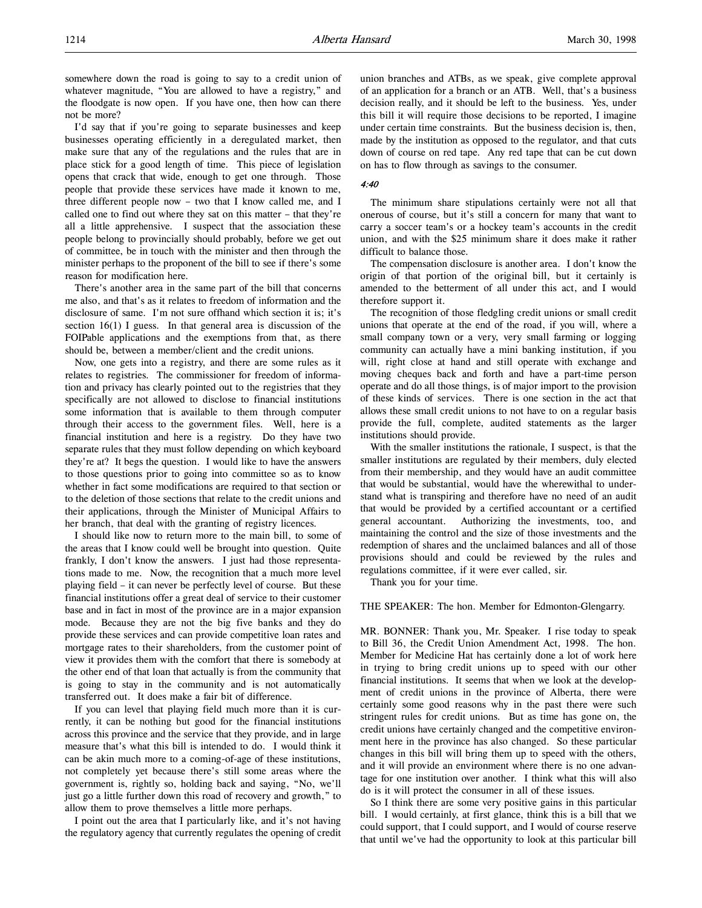somewhere down the road is going to say to a credit union of whatever magnitude, "You are allowed to have a registry," and the floodgate is now open. If you have one, then how can there not be more?

I'd say that if you're going to separate businesses and keep businesses operating efficiently in a deregulated market, then make sure that any of the regulations and the rules that are in place stick for a good length of time. This piece of legislation opens that crack that wide, enough to get one through. Those people that provide these services have made it known to me, three different people now – two that I know called me, and I called one to find out where they sat on this matter – that they're all a little apprehensive. I suspect that the association these people belong to provincially should probably, before we get out of committee, be in touch with the minister and then through the minister perhaps to the proponent of the bill to see if there's some reason for modification here.

There's another area in the same part of the bill that concerns me also, and that's as it relates to freedom of information and the disclosure of same. I'm not sure offhand which section it is; it's section 16(1) I guess. In that general area is discussion of the FOIPable applications and the exemptions from that, as there should be, between a member/client and the credit unions.

Now, one gets into a registry, and there are some rules as it relates to registries. The commissioner for freedom of information and privacy has clearly pointed out to the registries that they specifically are not allowed to disclose to financial institutions some information that is available to them through computer through their access to the government files. Well, here is a financial institution and here is a registry. Do they have two separate rules that they must follow depending on which keyboard they're at? It begs the question. I would like to have the answers to those questions prior to going into committee so as to know whether in fact some modifications are required to that section or to the deletion of those sections that relate to the credit unions and their applications, through the Minister of Municipal Affairs to her branch, that deal with the granting of registry licences.

I should like now to return more to the main bill, to some of the areas that I know could well be brought into question. Quite frankly, I don't know the answers. I just had those representations made to me. Now, the recognition that a much more level playing field – it can never be perfectly level of course. But these financial institutions offer a great deal of service to their customer base and in fact in most of the province are in a major expansion mode. Because they are not the big five banks and they do provide these services and can provide competitive loan rates and mortgage rates to their shareholders, from the customer point of view it provides them with the comfort that there is somebody at the other end of that loan that actually is from the community that is going to stay in the community and is not automatically transferred out. It does make a fair bit of difference.

If you can level that playing field much more than it is currently, it can be nothing but good for the financial institutions across this province and the service that they provide, and in large measure that's what this bill is intended to do. I would think it can be akin much more to a coming-of-age of these institutions, not completely yet because there's still some areas where the government is, rightly so, holding back and saying, "No, we'll just go a little further down this road of recovery and growth," to allow them to prove themselves a little more perhaps.

I point out the area that I particularly like, and it's not having the regulatory agency that currently regulates the opening of credit union branches and ATBs, as we speak, give complete approval of an application for a branch or an ATB. Well, that's a business decision really, and it should be left to the business. Yes, under this bill it will require those decisions to be reported, I imagine under certain time constraints. But the business decision is, then, made by the institution as opposed to the regulator, and that cuts down of course on red tape. Any red tape that can be cut down on has to flow through as savings to the consumer.

#### 4:40

The minimum share stipulations certainly were not all that onerous of course, but it's still a concern for many that want to carry a soccer team's or a hockey team's accounts in the credit union, and with the \$25 minimum share it does make it rather difficult to balance those.

The compensation disclosure is another area. I don't know the origin of that portion of the original bill, but it certainly is amended to the betterment of all under this act, and I would therefore support it.

The recognition of those fledgling credit unions or small credit unions that operate at the end of the road, if you will, where a small company town or a very, very small farming or logging community can actually have a mini banking institution, if you will, right close at hand and still operate with exchange and moving cheques back and forth and have a part-time person operate and do all those things, is of major import to the provision of these kinds of services. There is one section in the act that allows these small credit unions to not have to on a regular basis provide the full, complete, audited statements as the larger institutions should provide.

With the smaller institutions the rationale, I suspect, is that the smaller institutions are regulated by their members, duly elected from their membership, and they would have an audit committee that would be substantial, would have the wherewithal to understand what is transpiring and therefore have no need of an audit that would be provided by a certified accountant or a certified general accountant. Authorizing the investments, too, and maintaining the control and the size of those investments and the redemption of shares and the unclaimed balances and all of those provisions should and could be reviewed by the rules and regulations committee, if it were ever called, sir.

Thank you for your time.

THE SPEAKER: The hon. Member for Edmonton-Glengarry.

MR. BONNER: Thank you, Mr. Speaker. I rise today to speak to Bill 36, the Credit Union Amendment Act, 1998. The hon. Member for Medicine Hat has certainly done a lot of work here in trying to bring credit unions up to speed with our other financial institutions. It seems that when we look at the development of credit unions in the province of Alberta, there were certainly some good reasons why in the past there were such stringent rules for credit unions. But as time has gone on, the credit unions have certainly changed and the competitive environment here in the province has also changed. So these particular changes in this bill will bring them up to speed with the others, and it will provide an environment where there is no one advantage for one institution over another. I think what this will also do is it will protect the consumer in all of these issues.

So I think there are some very positive gains in this particular bill. I would certainly, at first glance, think this is a bill that we could support, that I could support, and I would of course reserve that until we've had the opportunity to look at this particular bill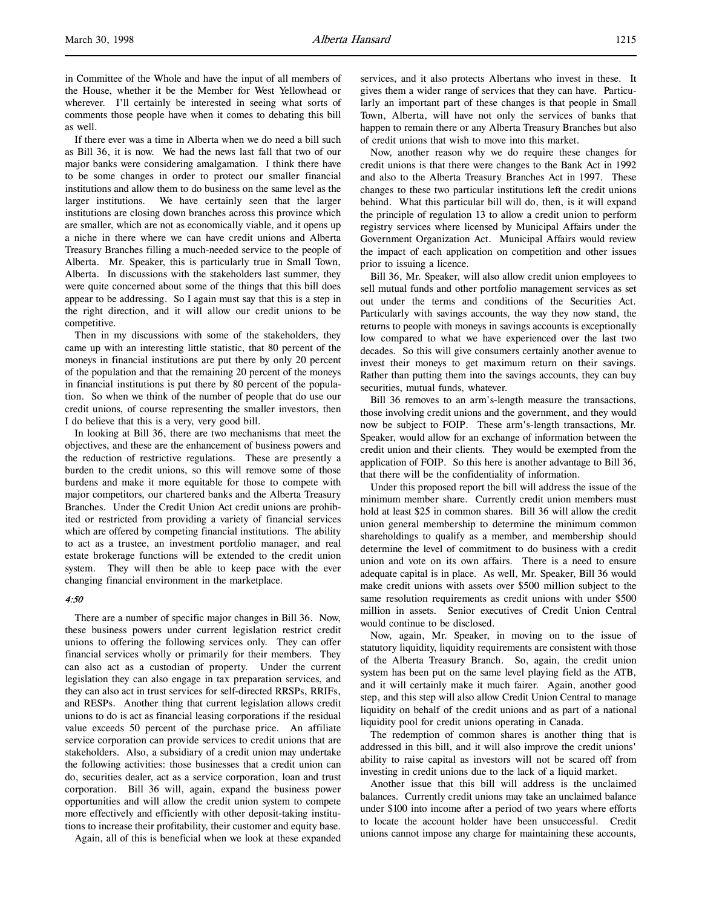in Committee of the Whole and have the input of all members of the House, whether it be the Member for West Yellowhead or wherever. I'll certainly be interested in seeing what sorts of comments those people have when it comes to debating this bill as well.

If there ever was a time in Alberta when we do need a bill such as Bill 36, it is now. We had the news last fall that two of our major banks were considering amalgamation. I think there have to be some changes in order to protect our smaller financial institutions and allow them to do business on the same level as the larger institutions. We have certainly seen that the larger institutions are closing down branches across this province which are smaller, which are not as economically viable, and it opens up a niche in there where we can have credit unions and Alberta Treasury Branches filling a much-needed service to the people of Alberta. Mr. Speaker, this is particularly true in Small Town, Alberta. In discussions with the stakeholders last summer, they were quite concerned about some of the things that this bill does appear to be addressing. So I again must say that this is a step in the right direction, and it will allow our credit unions to be competitive.

Then in my discussions with some of the stakeholders, they came up with an interesting little statistic, that 80 percent of the moneys in financial institutions are put there by only 20 percent of the population and that the remaining 20 percent of the moneys in financial institutions is put there by 80 percent of the population. So when we think of the number of people that do use our credit unions, of course representing the smaller investors, then I do believe that this is a very, very good bill.

In looking at Bill 36, there are two mechanisms that meet the objectives, and these are the enhancement of business powers and the reduction of restrictive regulations. These are presently a burden to the credit unions, so this will remove some of those burdens and make it more equitable for those to compete with major competitors, our chartered banks and the Alberta Treasury Branches. Under the Credit Union Act credit unions are prohibited or restricted from providing a variety of financial services which are offered by competing financial institutions. The ability to act as a trustee, an investment portfolio manager, and real estate brokerage functions will be extended to the credit union system. They will then be able to keep pace with the ever changing financial environment in the marketplace.

#### 4:50

There are a number of specific major changes in Bill 36. Now, these business powers under current legislation restrict credit unions to offering the following services only. They can offer financial services wholly or primarily for their members. They can also act as a custodian of property. Under the current legislation they can also engage in tax preparation services, and they can also act in trust services for self-directed RRSPs, RRIFs, and RESPs. Another thing that current legislation allows credit unions to do is act as financial leasing corporations if the residual value exceeds 50 percent of the purchase price. An affiliate service corporation can provide services to credit unions that are stakeholders. Also, a subsidiary of a credit union may undertake the following activities: those businesses that a credit union can do, securities dealer, act as a service corporation, loan and trust corporation. Bill 36 will, again, expand the business power opportunities and will allow the credit union system to compete more effectively and efficiently with other deposit-taking institutions to increase their profitability, their customer and equity base.

Again, all of this is beneficial when we look at these expanded

services, and it also protects Albertans who invest in these. It gives them a wider range of services that they can have. Particularly an important part of these changes is that people in Small Town, Alberta, will have not only the services of banks that happen to remain there or any Alberta Treasury Branches but also of credit unions that wish to move into this market.

Now, another reason why we do require these changes for credit unions is that there were changes to the Bank Act in 1992 and also to the Alberta Treasury Branches Act in 1997. These changes to these two particular institutions left the credit unions behind. What this particular bill will do, then, is it will expand the principle of regulation 13 to allow a credit union to perform registry services where licensed by Municipal Affairs under the Government Organization Act. Municipal Affairs would review the impact of each application on competition and other issues prior to issuing a licence.

Bill 36, Mr. Speaker, will also allow credit union employees to sell mutual funds and other portfolio management services as set out under the terms and conditions of the Securities Act. Particularly with savings accounts, the way they now stand, the returns to people with moneys in savings accounts is exceptionally low compared to what we have experienced over the last two decades. So this will give consumers certainly another avenue to invest their moneys to get maximum return on their savings. Rather than putting them into the savings accounts, they can buy securities, mutual funds, whatever.

Bill 36 removes to an arm's-length measure the transactions, those involving credit unions and the government, and they would now be subject to FOIP. These arm's-length transactions, Mr. Speaker, would allow for an exchange of information between the credit union and their clients. They would be exempted from the application of FOIP. So this here is another advantage to Bill 36, that there will be the confidentiality of information.

Under this proposed report the bill will address the issue of the minimum member share. Currently credit union members must hold at least \$25 in common shares. Bill 36 will allow the credit union general membership to determine the minimum common shareholdings to qualify as a member, and membership should determine the level of commitment to do business with a credit union and vote on its own affairs. There is a need to ensure adequate capital is in place. As well, Mr. Speaker, Bill 36 would make credit unions with assets over \$500 million subject to the same resolution requirements as credit unions with under \$500 million in assets. Senior executives of Credit Union Central would continue to be disclosed.

Now, again, Mr. Speaker, in moving on to the issue of statutory liquidity, liquidity requirements are consistent with those of the Alberta Treasury Branch. So, again, the credit union system has been put on the same level playing field as the ATB, and it will certainly make it much fairer. Again, another good step, and this step will also allow Credit Union Central to manage liquidity on behalf of the credit unions and as part of a national liquidity pool for credit unions operating in Canada.

The redemption of common shares is another thing that is addressed in this bill, and it will also improve the credit unions' ability to raise capital as investors will not be scared off from investing in credit unions due to the lack of a liquid market.

Another issue that this bill will address is the unclaimed balances. Currently credit unions may take an unclaimed balance under \$100 into income after a period of two years where efforts to locate the account holder have been unsuccessful. Credit unions cannot impose any charge for maintaining these accounts,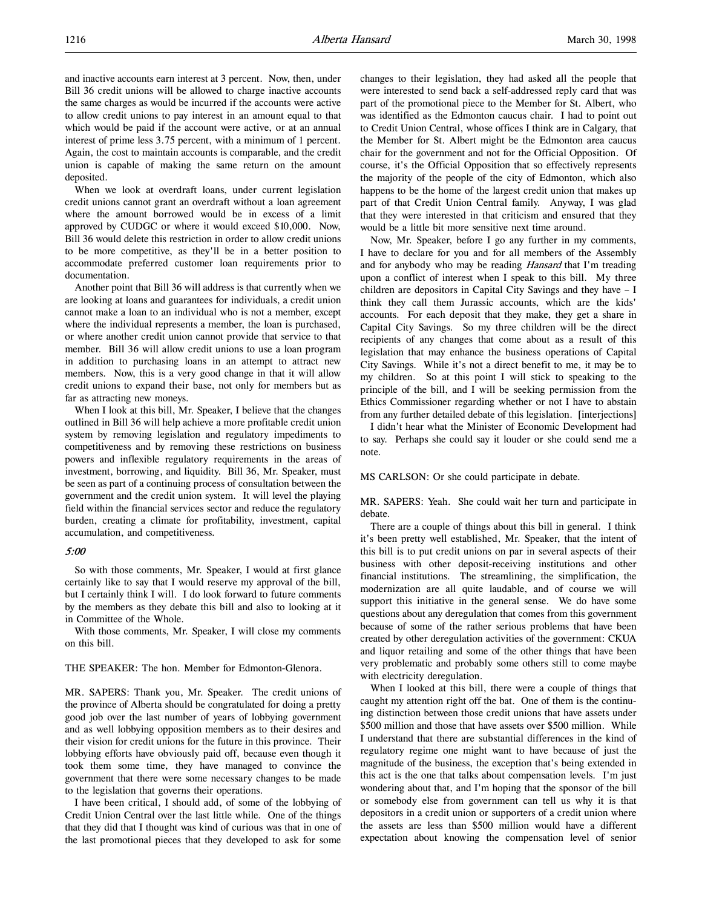and inactive accounts earn interest at 3 percent. Now, then, under Bill 36 credit unions will be allowed to charge inactive accounts the same charges as would be incurred if the accounts were active to allow credit unions to pay interest in an amount equal to that which would be paid if the account were active, or at an annual interest of prime less 3.75 percent, with a minimum of 1 percent. Again, the cost to maintain accounts is comparable, and the credit union is capable of making the same return on the amount deposited.

When we look at overdraft loans, under current legislation credit unions cannot grant an overdraft without a loan agreement where the amount borrowed would be in excess of a limit approved by CUDGC or where it would exceed \$10,000. Now, Bill 36 would delete this restriction in order to allow credit unions to be more competitive, as they'll be in a better position to accommodate preferred customer loan requirements prior to documentation.

Another point that Bill 36 will address is that currently when we are looking at loans and guarantees for individuals, a credit union cannot make a loan to an individual who is not a member, except where the individual represents a member, the loan is purchased, or where another credit union cannot provide that service to that member. Bill 36 will allow credit unions to use a loan program in addition to purchasing loans in an attempt to attract new members. Now, this is a very good change in that it will allow credit unions to expand their base, not only for members but as far as attracting new moneys.

When I look at this bill, Mr. Speaker, I believe that the changes outlined in Bill 36 will help achieve a more profitable credit union system by removing legislation and regulatory impediments to competitiveness and by removing these restrictions on business powers and inflexible regulatory requirements in the areas of investment, borrowing, and liquidity. Bill 36, Mr. Speaker, must be seen as part of a continuing process of consultation between the government and the credit union system. It will level the playing field within the financial services sector and reduce the regulatory burden, creating a climate for profitability, investment, capital accumulation, and competitiveness.

#### 5:00

So with those comments, Mr. Speaker, I would at first glance certainly like to say that I would reserve my approval of the bill, but I certainly think I will. I do look forward to future comments by the members as they debate this bill and also to looking at it in Committee of the Whole.

With those comments, Mr. Speaker, I will close my comments on this bill.

#### THE SPEAKER: The hon. Member for Edmonton-Glenora.

MR. SAPERS: Thank you, Mr. Speaker. The credit unions of the province of Alberta should be congratulated for doing a pretty good job over the last number of years of lobbying government and as well lobbying opposition members as to their desires and their vision for credit unions for the future in this province. Their lobbying efforts have obviously paid off, because even though it took them some time, they have managed to convince the government that there were some necessary changes to be made to the legislation that governs their operations.

I have been critical, I should add, of some of the lobbying of Credit Union Central over the last little while. One of the things that they did that I thought was kind of curious was that in one of the last promotional pieces that they developed to ask for some

changes to their legislation, they had asked all the people that were interested to send back a self-addressed reply card that was part of the promotional piece to the Member for St. Albert, who was identified as the Edmonton caucus chair. I had to point out to Credit Union Central, whose offices I think are in Calgary, that the Member for St. Albert might be the Edmonton area caucus chair for the government and not for the Official Opposition. Of course, it's the Official Opposition that so effectively represents the majority of the people of the city of Edmonton, which also happens to be the home of the largest credit union that makes up part of that Credit Union Central family. Anyway, I was glad that they were interested in that criticism and ensured that they would be a little bit more sensitive next time around.

Now, Mr. Speaker, before I go any further in my comments, I have to declare for you and for all members of the Assembly and for anybody who may be reading Hansard that I'm treading upon a conflict of interest when I speak to this bill. My three children are depositors in Capital City Savings and they have – I think they call them Jurassic accounts, which are the kids' accounts. For each deposit that they make, they get a share in Capital City Savings. So my three children will be the direct recipients of any changes that come about as a result of this legislation that may enhance the business operations of Capital City Savings. While it's not a direct benefit to me, it may be to my children. So at this point I will stick to speaking to the principle of the bill, and I will be seeking permission from the Ethics Commissioner regarding whether or not I have to abstain from any further detailed debate of this legislation. [interjections]

I didn't hear what the Minister of Economic Development had to say. Perhaps she could say it louder or she could send me a note.

MS CARLSON: Or she could participate in debate.

MR. SAPERS: Yeah. She could wait her turn and participate in debate.

There are a couple of things about this bill in general. I think it's been pretty well established, Mr. Speaker, that the intent of this bill is to put credit unions on par in several aspects of their business with other deposit-receiving institutions and other financial institutions. The streamlining, the simplification, the modernization are all quite laudable, and of course we will support this initiative in the general sense. We do have some questions about any deregulation that comes from this government because of some of the rather serious problems that have been created by other deregulation activities of the government: CKUA and liquor retailing and some of the other things that have been very problematic and probably some others still to come maybe with electricity deregulation.

When I looked at this bill, there were a couple of things that caught my attention right off the bat. One of them is the continuing distinction between those credit unions that have assets under \$500 million and those that have assets over \$500 million. While I understand that there are substantial differences in the kind of regulatory regime one might want to have because of just the magnitude of the business, the exception that's being extended in this act is the one that talks about compensation levels. I'm just wondering about that, and I'm hoping that the sponsor of the bill or somebody else from government can tell us why it is that depositors in a credit union or supporters of a credit union where the assets are less than \$500 million would have a different expectation about knowing the compensation level of senior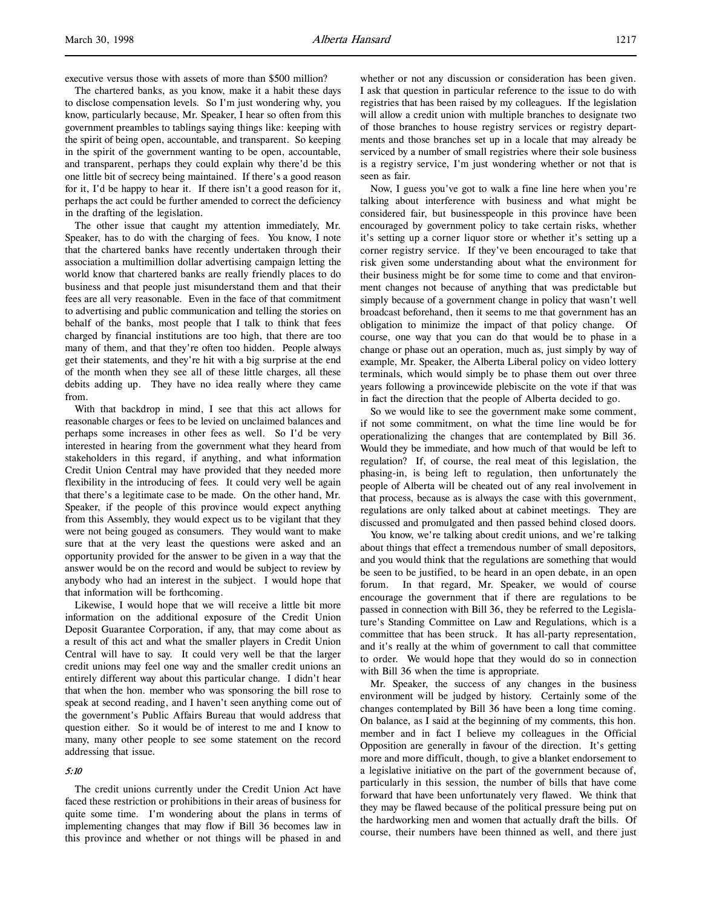executive versus those with assets of more than \$500 million?

The chartered banks, as you know, make it a habit these days to disclose compensation levels. So I'm just wondering why, you know, particularly because, Mr. Speaker, I hear so often from this government preambles to tablings saying things like: keeping with the spirit of being open, accountable, and transparent. So keeping in the spirit of the government wanting to be open, accountable, and transparent, perhaps they could explain why there'd be this one little bit of secrecy being maintained. If there's a good reason for it, I'd be happy to hear it. If there isn't a good reason for it, perhaps the act could be further amended to correct the deficiency in the drafting of the legislation.

The other issue that caught my attention immediately, Mr. Speaker, has to do with the charging of fees. You know, I note that the chartered banks have recently undertaken through their association a multimillion dollar advertising campaign letting the world know that chartered banks are really friendly places to do business and that people just misunderstand them and that their fees are all very reasonable. Even in the face of that commitment to advertising and public communication and telling the stories on behalf of the banks, most people that I talk to think that fees charged by financial institutions are too high, that there are too many of them, and that they're often too hidden. People always get their statements, and they're hit with a big surprise at the end of the month when they see all of these little charges, all these debits adding up. They have no idea really where they came from.

With that backdrop in mind, I see that this act allows for reasonable charges or fees to be levied on unclaimed balances and perhaps some increases in other fees as well. So I'd be very interested in hearing from the government what they heard from stakeholders in this regard, if anything, and what information Credit Union Central may have provided that they needed more flexibility in the introducing of fees. It could very well be again that there's a legitimate case to be made. On the other hand, Mr. Speaker, if the people of this province would expect anything from this Assembly, they would expect us to be vigilant that they were not being gouged as consumers. They would want to make sure that at the very least the questions were asked and an opportunity provided for the answer to be given in a way that the answer would be on the record and would be subject to review by anybody who had an interest in the subject. I would hope that that information will be forthcoming.

Likewise, I would hope that we will receive a little bit more information on the additional exposure of the Credit Union Deposit Guarantee Corporation, if any, that may come about as a result of this act and what the smaller players in Credit Union Central will have to say. It could very well be that the larger credit unions may feel one way and the smaller credit unions an entirely different way about this particular change. I didn't hear that when the hon. member who was sponsoring the bill rose to speak at second reading, and I haven't seen anything come out of the government's Public Affairs Bureau that would address that question either. So it would be of interest to me and I know to many, many other people to see some statement on the record addressing that issue.

#### 5:10

The credit unions currently under the Credit Union Act have faced these restriction or prohibitions in their areas of business for quite some time. I'm wondering about the plans in terms of implementing changes that may flow if Bill 36 becomes law in this province and whether or not things will be phased in and

whether or not any discussion or consideration has been given. I ask that question in particular reference to the issue to do with registries that has been raised by my colleagues. If the legislation will allow a credit union with multiple branches to designate two of those branches to house registry services or registry departments and those branches set up in a locale that may already be serviced by a number of small registries where their sole business is a registry service, I'm just wondering whether or not that is seen as fair.

Now, I guess you've got to walk a fine line here when you're talking about interference with business and what might be considered fair, but businesspeople in this province have been encouraged by government policy to take certain risks, whether it's setting up a corner liquor store or whether it's setting up a corner registry service. If they've been encouraged to take that risk given some understanding about what the environment for their business might be for some time to come and that environment changes not because of anything that was predictable but simply because of a government change in policy that wasn't well broadcast beforehand, then it seems to me that government has an obligation to minimize the impact of that policy change. Of course, one way that you can do that would be to phase in a change or phase out an operation, much as, just simply by way of example, Mr. Speaker, the Alberta Liberal policy on video lottery terminals, which would simply be to phase them out over three years following a provincewide plebiscite on the vote if that was in fact the direction that the people of Alberta decided to go.

So we would like to see the government make some comment, if not some commitment, on what the time line would be for operationalizing the changes that are contemplated by Bill 36. Would they be immediate, and how much of that would be left to regulation? If, of course, the real meat of this legislation, the phasing-in, is being left to regulation, then unfortunately the people of Alberta will be cheated out of any real involvement in that process, because as is always the case with this government, regulations are only talked about at cabinet meetings. They are discussed and promulgated and then passed behind closed doors.

You know, we're talking about credit unions, and we're talking about things that effect a tremendous number of small depositors, and you would think that the regulations are something that would be seen to be justified, to be heard in an open debate, in an open forum. In that regard, Mr. Speaker, we would of course encourage the government that if there are regulations to be passed in connection with Bill 36, they be referred to the Legislature's Standing Committee on Law and Regulations, which is a committee that has been struck. It has all-party representation, and it's really at the whim of government to call that committee to order. We would hope that they would do so in connection with Bill 36 when the time is appropriate.

Mr. Speaker, the success of any changes in the business environment will be judged by history. Certainly some of the changes contemplated by Bill 36 have been a long time coming. On balance, as I said at the beginning of my comments, this hon. member and in fact I believe my colleagues in the Official Opposition are generally in favour of the direction. It's getting more and more difficult, though, to give a blanket endorsement to a legislative initiative on the part of the government because of, particularly in this session, the number of bills that have come forward that have been unfortunately very flawed. We think that they may be flawed because of the political pressure being put on the hardworking men and women that actually draft the bills. Of course, their numbers have been thinned as well, and there just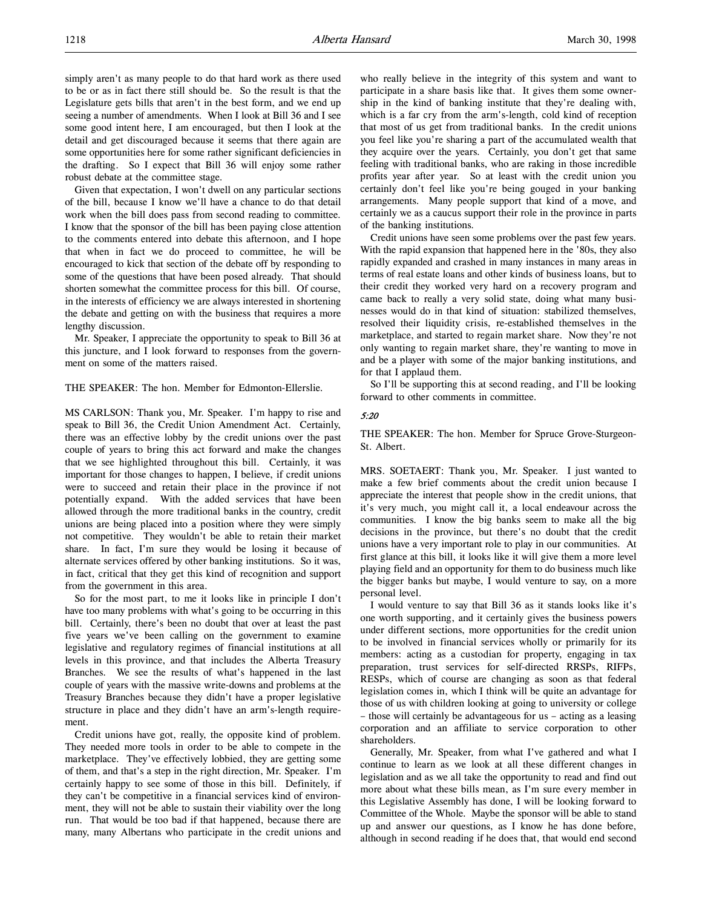simply aren't as many people to do that hard work as there used to be or as in fact there still should be. So the result is that the Legislature gets bills that aren't in the best form, and we end up seeing a number of amendments. When I look at Bill 36 and I see some good intent here, I am encouraged, but then I look at the detail and get discouraged because it seems that there again are some opportunities here for some rather significant deficiencies in the drafting. So I expect that Bill 36 will enjoy some rather robust debate at the committee stage.

Given that expectation, I won't dwell on any particular sections of the bill, because I know we'll have a chance to do that detail work when the bill does pass from second reading to committee. I know that the sponsor of the bill has been paying close attention to the comments entered into debate this afternoon, and I hope that when in fact we do proceed to committee, he will be encouraged to kick that section of the debate off by responding to some of the questions that have been posed already. That should shorten somewhat the committee process for this bill. Of course, in the interests of efficiency we are always interested in shortening the debate and getting on with the business that requires a more lengthy discussion.

Mr. Speaker, I appreciate the opportunity to speak to Bill 36 at this juncture, and I look forward to responses from the government on some of the matters raised.

#### THE SPEAKER: The hon. Member for Edmonton-Ellerslie.

MS CARLSON: Thank you, Mr. Speaker. I'm happy to rise and speak to Bill 36, the Credit Union Amendment Act. Certainly, there was an effective lobby by the credit unions over the past couple of years to bring this act forward and make the changes that we see highlighted throughout this bill. Certainly, it was important for those changes to happen, I believe, if credit unions were to succeed and retain their place in the province if not potentially expand. With the added services that have been allowed through the more traditional banks in the country, credit unions are being placed into a position where they were simply not competitive. They wouldn't be able to retain their market share. In fact, I'm sure they would be losing it because of alternate services offered by other banking institutions. So it was, in fact, critical that they get this kind of recognition and support from the government in this area.

So for the most part, to me it looks like in principle I don't have too many problems with what's going to be occurring in this bill. Certainly, there's been no doubt that over at least the past five years we've been calling on the government to examine legislative and regulatory regimes of financial institutions at all levels in this province, and that includes the Alberta Treasury Branches. We see the results of what's happened in the last couple of years with the massive write-downs and problems at the Treasury Branches because they didn't have a proper legislative structure in place and they didn't have an arm's-length requirement.

Credit unions have got, really, the opposite kind of problem. They needed more tools in order to be able to compete in the marketplace. They've effectively lobbied, they are getting some of them, and that's a step in the right direction, Mr. Speaker. I'm certainly happy to see some of those in this bill. Definitely, if they can't be competitive in a financial services kind of environment, they will not be able to sustain their viability over the long run. That would be too bad if that happened, because there are many, many Albertans who participate in the credit unions and

who really believe in the integrity of this system and want to participate in a share basis like that. It gives them some ownership in the kind of banking institute that they're dealing with, which is a far cry from the arm's-length, cold kind of reception that most of us get from traditional banks. In the credit unions you feel like you're sharing a part of the accumulated wealth that they acquire over the years. Certainly, you don't get that same feeling with traditional banks, who are raking in those incredible profits year after year. So at least with the credit union you certainly don't feel like you're being gouged in your banking arrangements. Many people support that kind of a move, and certainly we as a caucus support their role in the province in parts of the banking institutions.

Credit unions have seen some problems over the past few years. With the rapid expansion that happened here in the '80s, they also rapidly expanded and crashed in many instances in many areas in terms of real estate loans and other kinds of business loans, but to their credit they worked very hard on a recovery program and came back to really a very solid state, doing what many businesses would do in that kind of situation: stabilized themselves, resolved their liquidity crisis, re-established themselves in the marketplace, and started to regain market share. Now they're not only wanting to regain market share, they're wanting to move in and be a player with some of the major banking institutions, and for that I applaud them.

So I'll be supporting this at second reading, and I'll be looking forward to other comments in committee.

#### 5:20

THE SPEAKER: The hon. Member for Spruce Grove-Sturgeon-St. Albert.

MRS. SOETAERT: Thank you, Mr. Speaker. I just wanted to make a few brief comments about the credit union because I appreciate the interest that people show in the credit unions, that it's very much, you might call it, a local endeavour across the communities. I know the big banks seem to make all the big decisions in the province, but there's no doubt that the credit unions have a very important role to play in our communities. At first glance at this bill, it looks like it will give them a more level playing field and an opportunity for them to do business much like the bigger banks but maybe, I would venture to say, on a more personal level.

I would venture to say that Bill 36 as it stands looks like it's one worth supporting, and it certainly gives the business powers under different sections, more opportunities for the credit union to be involved in financial services wholly or primarily for its members: acting as a custodian for property, engaging in tax preparation, trust services for self-directed RRSPs, RIFPs, RESPs, which of course are changing as soon as that federal legislation comes in, which I think will be quite an advantage for those of us with children looking at going to university or college – those will certainly be advantageous for us – acting as a leasing corporation and an affiliate to service corporation to other shareholders.

Generally, Mr. Speaker, from what I've gathered and what I continue to learn as we look at all these different changes in legislation and as we all take the opportunity to read and find out more about what these bills mean, as I'm sure every member in this Legislative Assembly has done, I will be looking forward to Committee of the Whole. Maybe the sponsor will be able to stand up and answer our questions, as I know he has done before, although in second reading if he does that, that would end second